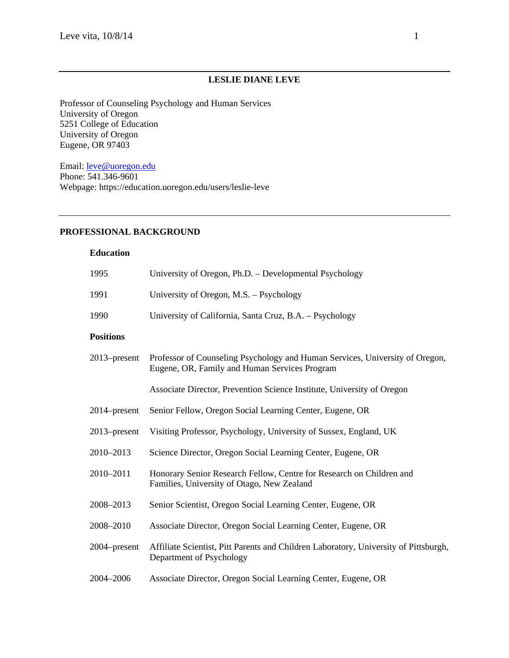## **LESLIE DIANE LEVE**

Professor of Counseling Psychology and Human Services University of Oregon 5251 College of Education University of Oregon Eugene, OR 97403

Email: leve@uoregon.edu Phone: 541.346-9601 Webpage: https://education.uoregon.edu/users/leslie-leve

## **PROFESSIONAL BACKGROUND**

#### **Education**

| 1995             | University of Oregon, Ph.D. - Developmental Psychology                                                                        |
|------------------|-------------------------------------------------------------------------------------------------------------------------------|
| 1991             | University of Oregon, M.S. - Psychology                                                                                       |
| 1990             | University of California, Santa Cruz, B.A. - Psychology                                                                       |
| <b>Positions</b> |                                                                                                                               |
| $2013$ -present  | Professor of Counseling Psychology and Human Services, University of Oregon,<br>Eugene, OR, Family and Human Services Program |
|                  | Associate Director, Prevention Science Institute, University of Oregon                                                        |
| $2014$ -present  | Senior Fellow, Oregon Social Learning Center, Eugene, OR                                                                      |
| $2013$ -present  | Visiting Professor, Psychology, University of Sussex, England, UK                                                             |
| 2010-2013        | Science Director, Oregon Social Learning Center, Eugene, OR                                                                   |
| 2010-2011        | Honorary Senior Research Fellow, Centre for Research on Children and<br>Families, University of Otago, New Zealand            |
| 2008-2013        | Senior Scientist, Oregon Social Learning Center, Eugene, OR                                                                   |
| 2008-2010        | Associate Director, Oregon Social Learning Center, Eugene, OR                                                                 |
| 2004–present     | Affiliate Scientist, Pitt Parents and Children Laboratory, University of Pittsburgh,<br>Department of Psychology              |
| 2004-2006        | Associate Director, Oregon Social Learning Center, Eugene, OR                                                                 |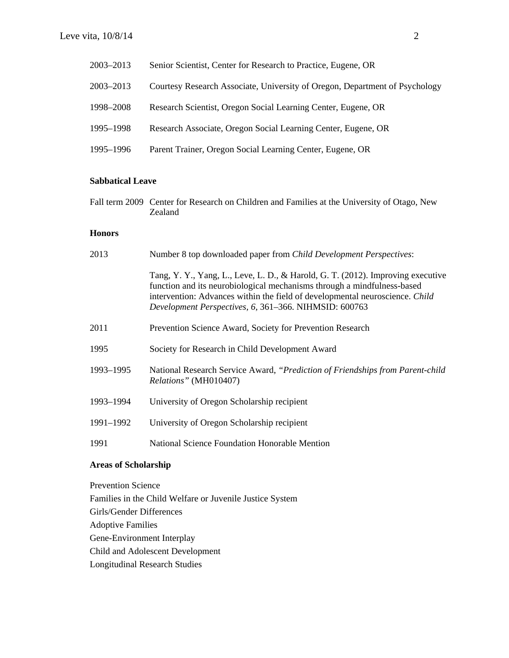| 2003-2013 | Senior Scientist, Center for Research to Practice, Eugene, OR               |
|-----------|-----------------------------------------------------------------------------|
| 2003-2013 | Courtesy Research Associate, University of Oregon, Department of Psychology |
| 1998–2008 | Research Scientist, Oregon Social Learning Center, Eugene, OR               |
| 1995–1998 | Research Associate, Oregon Social Learning Center, Eugene, OR               |
| 1995-1996 | Parent Trainer, Oregon Social Learning Center, Eugene, OR                   |

## **Sabbatical Leave**

Fall term 2009 Center for Research on Children and Families at the University of Otago, New Zealand

## **Honors**

| 2013                        | Number 8 top downloaded paper from Child Development Perspectives:                                                                                                                                                                                                                                  |
|-----------------------------|-----------------------------------------------------------------------------------------------------------------------------------------------------------------------------------------------------------------------------------------------------------------------------------------------------|
|                             | Tang, Y. Y., Yang, L., Leve, L. D., & Harold, G. T. (2012). Improving executive<br>function and its neurobiological mechanisms through a mindfulness-based<br>intervention: Advances within the field of developmental neuroscience. Child<br>Development Perspectives, 6, 361-366. NIHMSID: 600763 |
| 2011                        | Prevention Science Award, Society for Prevention Research                                                                                                                                                                                                                                           |
| 1995                        | Society for Research in Child Development Award                                                                                                                                                                                                                                                     |
| 1993-1995                   | National Research Service Award, "Prediction of Friendships from Parent-child<br>Relations" (MH010407)                                                                                                                                                                                              |
| 1993-1994                   | University of Oregon Scholarship recipient                                                                                                                                                                                                                                                          |
| 1991-1992                   | University of Oregon Scholarship recipient                                                                                                                                                                                                                                                          |
| 1991                        | <b>National Science Foundation Honorable Mention</b>                                                                                                                                                                                                                                                |
| <b>Areas of Scholarship</b> |                                                                                                                                                                                                                                                                                                     |

Prevention Science Families in the Child Welfare or Juvenile Justice System Girls/Gender Differences Adoptive Families Gene-Environment Interplay Child and Adolescent Development Longitudinal Research Studies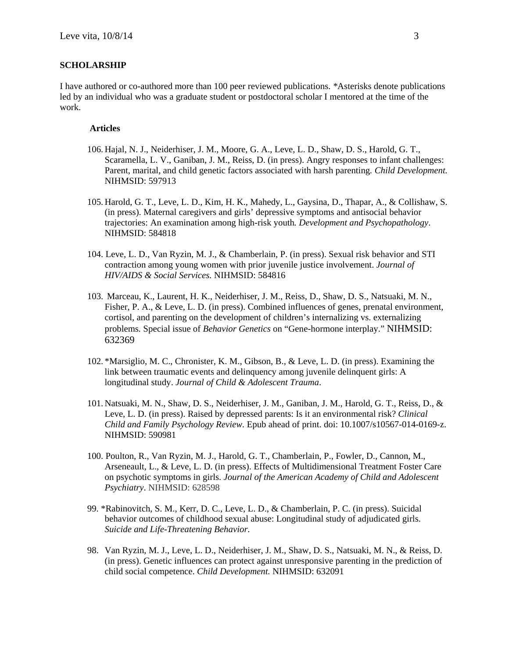#### **SCHOLARSHIP**

I have authored or co-authored more than 100 peer reviewed publications. *\**Asterisks denote publications led by an individual who was a graduate student or postdoctoral scholar I mentored at the time of the work.

#### **Articles**

- 106. Hajal, N. J., Neiderhiser, J. M., Moore, G. A., Leve, L. D., Shaw, D. S., Harold, G. T., Scaramella, L. V., Ganiban, J. M., Reiss, D. (in press). Angry responses to infant challenges: Parent, marital, and child genetic factors associated with harsh parenting*. Child Development.*  NIHMSID: 597913
- 105. Harold, G. T., Leve, L. D., Kim, H. K., Mahedy, L., Gaysina, D., Thapar, A., & Collishaw, S. (in press). Maternal caregivers and girls' depressive symptoms and antisocial behavior trajectories: An examination among high-risk youth*. Development and Psychopathology*. NIHMSID: 584818
- 104. Leve, L. D., Van Ryzin, M. J., & Chamberlain, P. (in press). Sexual risk behavior and STI contraction among young women with prior juvenile justice involvement. *Journal of HIV/AIDS & Social Services.* NIHMSID: 584816
- 103. Marceau, K., Laurent, H. K., Neiderhiser, J. M., Reiss, D., Shaw, D. S., Natsuaki, M. N., Fisher, P. A., & Leve, L. D. (in press). Combined influences of genes, prenatal environment, cortisol, and parenting on the development of children's internalizing vs. externalizing problems*.* Special issue of *Behavior Genetics* on "Gene-hormone interplay." NIHMSID: 632369
- 102. \*Marsiglio, M. C., Chronister, K. M., Gibson, B., & Leve, L. D. (in press). Examining the link between traumatic events and delinquency among juvenile delinquent girls: A longitudinal study. *Journal of Child & Adolescent Trauma*.
- 101. Natsuaki, M. N., Shaw, D. S., Neiderhiser, J. M., Ganiban, J. M., Harold, G. T., Reiss, D., & Leve, L. D. (in press). Raised by depressed parents: Is it an environmental risk? *Clinical Child and Family Psychology Review.* Epub ahead of print. doi: 10.1007/s10567-014-0169-z. NIHMSID: 590981
- 100. Poulton, R., Van Ryzin, M. J., Harold, G. T., Chamberlain, P., Fowler, D., Cannon, M., Arseneault, L., & Leve, L. D. (in press). Effects of Multidimensional Treatment Foster Care on psychotic symptoms in girls. *Journal of the American Academy of Child and Adolescent Psychiatry*. NIHMSID: 628598
- 99. \*Rabinovitch, S. M., Kerr, D. C., Leve, L. D., & Chamberlain, P. C. (in press). Suicidal behavior outcomes of childhood sexual abuse: Longitudinal study of adjudicated girls. *Suicide and Life-Threatening Behavior*.
- 98. Van Ryzin, M. J., Leve, L. D., Neiderhiser, J. M., Shaw, D. S., Natsuaki, M. N., & Reiss, D. (in press). Genetic influences can protect against unresponsive parenting in the prediction of child social competence. *Child Development.* NIHMSID: 632091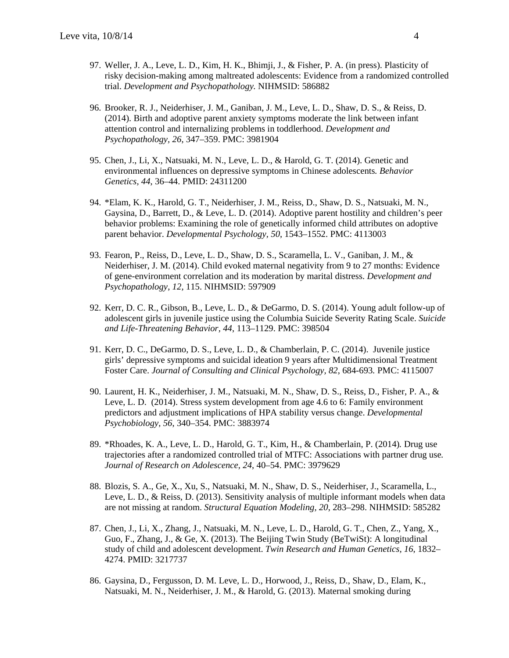- 97. Weller, J. A., Leve, L. D., Kim, H. K., Bhimji, J., & Fisher, P. A. (in press). Plasticity of risky decision-making among maltreated adolescents: Evidence from a randomized controlled trial. *Development and Psychopathology.* NIHMSID: 586882
- 96. Brooker, R. J., Neiderhiser, J. M., Ganiban, J. M., Leve, L. D., Shaw, D. S., & Reiss, D. (2014). Birth and adoptive parent anxiety symptoms moderate the link between infant attention control and internalizing problems in toddlerhood. *Development and Psychopathology, 26*, 347–359. PMC: 3981904
- 95. Chen, J., Li, X., Natsuaki, M. N., Leve, L. D., & Harold, G. T. (2014). Genetic and environmental influences on depressive symptoms in Chinese adolescents*. Behavior Genetics, 44*, 36–44. PMID: 24311200
- 94. \*Elam, K. K., Harold, G. T., Neiderhiser, J. M., Reiss, D., Shaw, D. S., Natsuaki, M. N., Gaysina, D., Barrett, D., & Leve, L. D. (2014). Adoptive parent hostility and children's peer behavior problems: Examining the role of genetically informed child attributes on adoptive parent behavior. *Developmental Psychology, 50*, 1543–1552. PMC: 4113003
- 93. Fearon, P., Reiss, D., Leve, L. D., Shaw, D. S., Scaramella, L. V., Ganiban, J. M., & Neiderhiser, J. M. (2014). Child evoked maternal negativity from 9 to 27 months: Evidence of gene-environment correlation and its moderation by marital distress. *Development and Psychopathology, 12,* 115. NIHMSID: 597909
- 92. Kerr, D. C. R., Gibson, B., Leve, L. D., & DeGarmo, D. S. (2014). Young adult follow-up of adolescent girls in juvenile justice using the Columbia Suicide Severity Rating Scale. *Suicide and Life-Threatening Behavior, 44*, 113–1129. PMC: 398504
- 91. Kerr, D. C., DeGarmo, D. S., Leve, L. D., & Chamberlain, P. C. (2014). Juvenile justice girls' depressive symptoms and suicidal ideation 9 years after Multidimensional Treatment Foster Care. *Journal of Consulting and Clinical Psychology, 82*, 684-693*.* PMC: 4115007
- 90. Laurent, H. K., Neiderhiser, J. M., Natsuaki, M. N., Shaw, D. S., Reiss, D., Fisher, P. A., & Leve, L. D. (2014). Stress system development from age 4.6 to 6: Family environment predictors and adjustment implications of HPA stability versus change. *Developmental Psychobiology, 56*, 340–354. PMC: 3883974
- 89. \*Rhoades, K. A., Leve, L. D., Harold, G. T., Kim, H., & Chamberlain, P. (2014)*.* Drug use trajectories after a randomized controlled trial of MTFC: Associations with partner drug use*. Journal of Research on Adolescence, 24*, 40–54. PMC: 3979629
- 88. Blozis, S. A., Ge, X., Xu, S., Natsuaki, M. N., Shaw, D. S., Neiderhiser, J., Scaramella, L., Leve, L. D., & Reiss, D. (2013). Sensitivity analysis of multiple informant models when data are not missing at random. *Structural Equation Modeling, 20*, 283–298. NIHMSID: 585282
- 87. Chen, J., Li, X., Zhang, J., Natsuaki, M. N., Leve, L. D., Harold, G. T., Chen, Z., Yang, X., Guo, F., Zhang, J., & Ge, X. (2013). The Beijing Twin Study (BeTwiSt): A longitudinal study of child and adolescent development. *Twin Research and Human Genetics, 16*, 1832– 4274. PMID: 3217737
- 86. Gaysina, D., Fergusson, D. M. Leve, L. D., Horwood, J., Reiss, D., Shaw, D., Elam, K., Natsuaki, M. N., Neiderhiser, J. M., & Harold, G. (2013). Maternal smoking during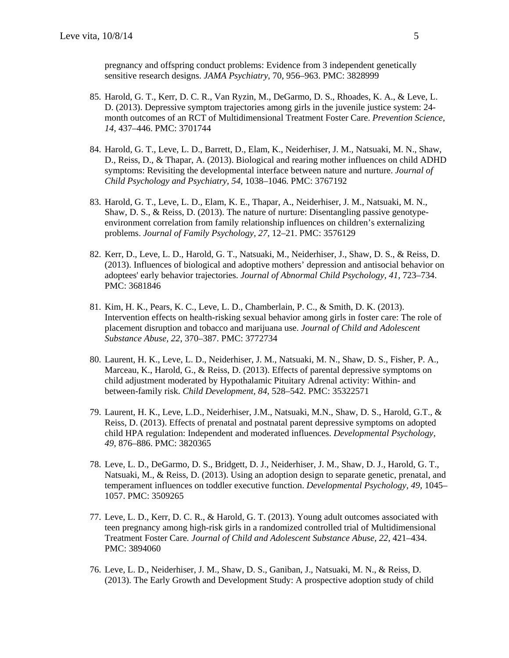pregnancy and offspring conduct problems: Evidence from 3 independent genetically sensitive research designs. *JAMA Psychiatry*, 70, 956–963. PMC: 3828999

- 85. Harold, G. T., Kerr, D. C. R., Van Ryzin, M., DeGarmo, D. S., Rhoades, K. A., & Leve, L. D. (2013). Depressive symptom trajectories among girls in the juvenile justice system: 24 month outcomes of an RCT of Multidimensional Treatment Foster Care. *Prevention Science, 14*, 437–446. PMC: 3701744
- 84. Harold, G. T., Leve, L. D., Barrett, D., Elam, K., Neiderhiser, J. M., Natsuaki, M. N., Shaw, D., Reiss, D., & Thapar, A. (2013). Biological and rearing mother influences on child ADHD symptoms: Revisiting the developmental interface between nature and nurture. *Journal of Child Psychology and Psychiatry, 54,* 1038–1046. PMC: 3767192
- 83. Harold, G. T., Leve, L. D., Elam, K. E., Thapar, A., Neiderhiser, J. M., Natsuaki, M. N., Shaw, D. S., & Reiss, D. (2013). The nature of nurture: Disentangling passive genotypeenvironment correlation from family relationship influences on children's externalizing problems. *Journal of Family Psychology, 27*, 12–21. PMC: 3576129
- 82. Kerr, D., Leve, L. D., Harold, G. T., Natsuaki, M., Neiderhiser, J., Shaw, D. S., & Reiss, D. (2013). Influences of biological and adoptive mothers' depression and antisocial behavior on adoptees' early behavior trajectories. *Journal of Abnormal Child Psychology, 41,* 723–734. PMC: 3681846
- 81. Kim, H. K., Pears, K. C., Leve, L. D., Chamberlain, P. C., & Smith, D. K. (2013). Intervention effects on health-risking sexual behavior among girls in foster care: The role of placement disruption and tobacco and marijuana use. *Journal of Child and Adolescent Substance Abuse, 22*, 370–387. PMC: 3772734
- 80. Laurent, H. K., Leve, L. D., Neiderhiser, J. M., Natsuaki, M. N., Shaw, D. S., Fisher, P. A., Marceau, K., Harold, G., & Reiss, D. (2013). Effects of parental depressive symptoms on child adjustment moderated by Hypothalamic Pituitary Adrenal activity: Within- and between-family risk. *Child Development, 84,* 528–542. PMC: 35322571
- 79. Laurent, H. K., Leve, L.D., Neiderhiser, J.M., Natsuaki, M.N., Shaw, D. S., Harold, G.T., & Reiss, D. (2013). Effects of prenatal and postnatal parent depressive symptoms on adopted child HPA regulation: Independent and moderated influences. *Developmental Psychology, 49*, 876–886. PMC: 3820365
- 78. Leve, L. D., DeGarmo, D. S., Bridgett, D. J., Neiderhiser, J. M., Shaw, D. J., Harold, G. T., Natsuaki, M., & Reiss, D. (2013). Using an adoption design to separate genetic, prenatal, and temperament influences on toddler executive function. *Developmental Psychology, 49*, 1045– 1057. PMC: 3509265
- 77. Leve, L. D., Kerr, D. C. R., & Harold, G. T. (2013). Young adult outcomes associated with teen pregnancy among high-risk girls in a randomized controlled trial of Multidimensional Treatment Foster Care*. Journal of Child and Adolescent Substance Abuse, 22*, 421–434. PMC: 3894060
- 76. Leve, L. D., Neiderhiser, J. M., Shaw, D. S., Ganiban, J., Natsuaki, M. N., & Reiss, D. (2013). The Early Growth and Development Study: A prospective adoption study of child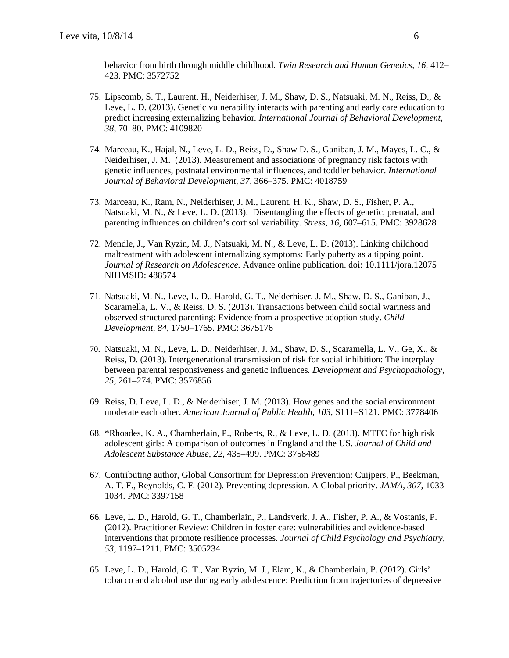behavior from birth through middle childhood*. Twin Research and Human Genetics, 16,* 412– 423. PMC: 3572752

- 75. Lipscomb, S. T., Laurent, H., Neiderhiser, J. M., Shaw, D. S., Natsuaki, M. N., Reiss, D., & Leve, L. D. (2013). Genetic vulnerability interacts with parenting and early care education to predict increasing externalizing behavior*. International Journal of Behavioral Development, 38*, 70–80. PMC: 4109820
- 74. Marceau, K., Hajal, N., Leve, L. D., Reiss, D., Shaw D. S., Ganiban, J. M., Mayes, L. C., & Neiderhiser, J. M. (2013). Measurement and associations of pregnancy risk factors with genetic influences, postnatal environmental influences, and toddler behavior. *International Journal of Behavioral Development, 37*, 366–375. PMC: 4018759
- 73. Marceau, K., Ram, N., Neiderhiser, J. M., Laurent, H. K., Shaw, D. S., Fisher, P. A., Natsuaki, M. N., & Leve, L. D. (2013). Disentangling the effects of genetic, prenatal, and parenting influences on children's cortisol variability. *Stress, 16*, 607–615. PMC: 3928628
- 72. Mendle, J., Van Ryzin, M. J., Natsuaki, M. N., & Leve, L. D. (2013). Linking childhood maltreatment with adolescent internalizing symptoms: Early puberty as a tipping point. *Journal of Research on Adolescence.* Advance online publication. doi: 10.1111/jora.12075 NIHMSID: 488574
- 71. Natsuaki, M. N., Leve, L. D., Harold, G. T., Neiderhiser, J. M., Shaw, D. S., Ganiban, J., Scaramella, L. V., & Reiss, D. S. (2013). Transactions between child social wariness and observed structured parenting: Evidence from a prospective adoption study. *Child Development, 84*, 1750–1765. PMC: 3675176
- 70. Natsuaki, M. N., Leve, L. D., Neiderhiser, J. M., Shaw, D. S., Scaramella, L. V., Ge, X., & Reiss, D. (2013). Intergenerational transmission of risk for social inhibition: The interplay between parental responsiveness and genetic influences*. Development and Psychopathology, 25*, 261–274. PMC: 3576856
- 69. Reiss, D. Leve, L. D., & Neiderhiser, J. M. (2013). How genes and the social environment moderate each other. *American Journal of Public Health, 103*, S111–S121. PMC: 3778406
- 68. \*Rhoades, K. A., Chamberlain, P., Roberts, R., & Leve, L. D. (2013). MTFC for high risk adolescent girls: A comparison of outcomes in England and the US. *Journal of Child and Adolescent Substance Abuse, 22*, 435–499. PMC: 3758489
- 67. Contributing author, Global Consortium for Depression Prevention: Cuijpers, P., Beekman, A. T. F., Reynolds, C. F. (2012). Preventing depression. A Global priority. *JAMA, 307*, 1033– 1034. PMC: 3397158
- 66. Leve, L. D., Harold, G. T., Chamberlain, P., Landsverk, J. A., Fisher, P. A., & Vostanis, P. (2012). Practitioner Review: Children in foster care: vulnerabilities and evidence-based interventions that promote resilience processes. *Journal of Child Psychology and Psychiatry, 53*, 1197–1211*.* PMC: 3505234
- 65. Leve, L. D., Harold, G. T., Van Ryzin, M. J., Elam, K., & Chamberlain, P. (2012). Girls' tobacco and alcohol use during early adolescence: Prediction from trajectories of depressive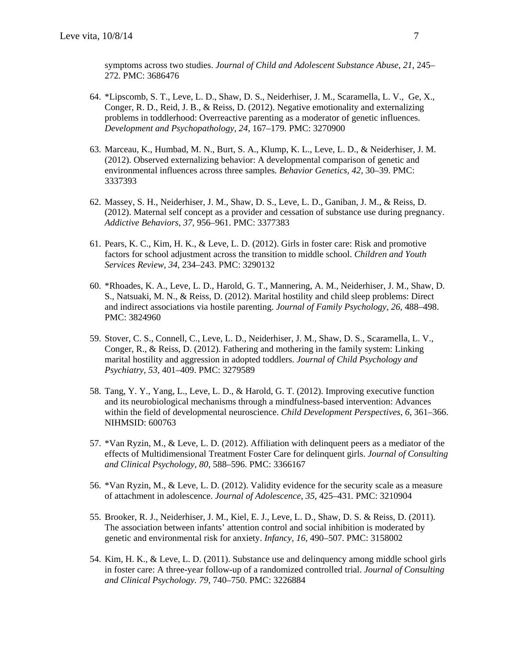symptoms across two studies. *Journal of Child and Adolescent Substance Abuse, 21*, 245– 272. PMC: 3686476

- 64. \*Lipscomb, S. T., Leve, L. D., Shaw, D. S., Neiderhiser, J. M., Scaramella, L. V., Ge, X., Conger, R. D., Reid, J. B., & Reiss, D. (2012). Negative emotionality and externalizing problems in toddlerhood: Overreactive parenting as a moderator of genetic influences. *Development and Psychopathology, 24,* 167–179*.* PMC: 3270900
- 63. Marceau, K., Humbad, M. N., Burt, S. A., Klump, K. L., Leve, L. D., & Neiderhiser, J. M. (2012). Observed externalizing behavior: A developmental comparison of genetic and environmental influences across three samples*. Behavior Genetics, 42*, 30–39. PMC: 3337393
- 62. Massey, S. H., Neiderhiser, J. M., Shaw, D. S., Leve, L. D., Ganiban, J. M., & Reiss, D. (2012). Maternal self concept as a provider and cessation of substance use during pregnancy. *Addictive Behaviors, 37*, 956–961. PMC: 3377383
- 61. Pears, K. C., Kim, H. K., & Leve, L. D. (2012). Girls in foster care: Risk and promotive factors for school adjustment across the transition to middle school. *Children and Youth Services Review, 34,* 234–243. PMC: 3290132
- 60. \*Rhoades, K. A., Leve, L. D., Harold, G. T., Mannering, A. M., Neiderhiser, J. M., Shaw, D. S., Natsuaki, M. N., & Reiss, D. (2012). Marital hostility and child sleep problems: Direct and indirect associations via hostile parenting. *Journal of Family Psychology, 26,* 488–498. PMC: 3824960
- 59. Stover, C. S., Connell, C., Leve, L. D., Neiderhiser, J. M., Shaw, D. S., Scaramella, L. V., Conger, R., & Reiss, D. (2012). Fathering and mothering in the family system: Linking marital hostility and aggression in adopted toddlers. *Journal of Child Psychology and Psychiatry*, *53,* 401–409. PMC: 3279589
- 58. Tang, Y. Y., Yang, L., Leve, L. D., & Harold, G. T. (2012). Improving executive function and its neurobiological mechanisms through a mindfulness-based intervention: Advances within the field of developmental neuroscience. *Child Development Perspectives, 6,* 361–366. NIHMSID: 600763
- 57. \*Van Ryzin, M., & Leve, L. D. (2012). Affiliation with delinquent peers as a mediator of the effects of Multidimensional Treatment Foster Care for delinquent girls. *Journal of Consulting and Clinical Psychology, 80,* 588–596. PMC: 3366167
- 56. \*Van Ryzin, M., & Leve, L. D. (2012). Validity evidence for the security scale as a measure of attachment in adolescence. *Journal of Adolescence, 35*, 425–431*.* PMC: 3210904
- 55. Brooker, R. J., Neiderhiser, J. M., Kiel, E. J., Leve, L. D., Shaw, D. S. & Reiss, D. (2011). The association between infants' attention control and social inhibition is moderated by genetic and environmental risk for anxiety. *Infancy, 16,* 490–507. PMC: 3158002
- 54. Kim, H. K., & Leve, L. D. (2011). Substance use and delinquency among middle school girls in foster care: A three-year follow-up of a randomized controlled trial. *Journal of Consulting and Clinical Psychology. 79,* 740–750. PMC: 3226884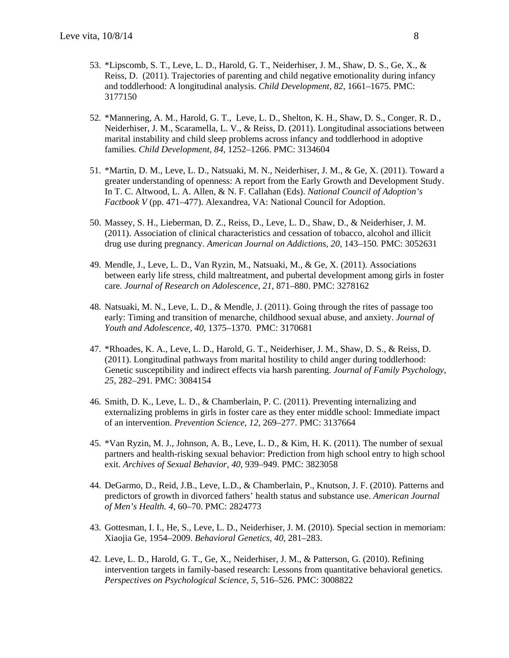- 53. \*Lipscomb, S. T., Leve, L. D., Harold, G. T., Neiderhiser, J. M., Shaw, D. S., Ge, X., & Reiss, D. (2011). Trajectories of parenting and child negative emotionality during infancy and toddlerhood: A longitudinal analysis. *Child Development, 82*, 1661–1675. PMC: 3177150
- 52. \*Mannering, A. M., Harold, G. T., Leve, L. D., Shelton, K. H., Shaw, D. S., Conger, R. D., Neiderhiser, J. M., Scaramella, L. V., & Reiss, D. (2011). Longitudinal associations between marital instability and child sleep problems across infancy and toddlerhood in adoptive families*. Child Development, 84*, 1252–1266. PMC: 3134604
- 51. \*Martin, D. M., Leve, L. D., Natsuaki, M. N., Neiderhiser, J. M., & Ge, X. (2011). Toward a greater understanding of openness: A report from the Early Growth and Development Study. In T. C. Altwood, L. A. Allen, & N. F. Callahan (Eds). *National Council of Adoption's Factbook V* (pp. 471–477). Alexandrea, VA: National Council for Adoption.
- 50. Massey, S. H., Lieberman, D. Z., Reiss, D., Leve, L. D., Shaw, D., & Neiderhiser, J. M. (2011). Association of clinical characteristics and cessation of tobacco, alcohol and illicit drug use during pregnancy. *American Journal on Addictions, 20,* 143–150*.* PMC: 3052631
- 49. Mendle, J., Leve, L. D., Van Ryzin, M., Natsuaki, M., & Ge, X. (2011). Associations between early life stress, child maltreatment, and pubertal development among girls in foster care. *Journal of Research on Adolescence, 21*, 871–880. PMC: 3278162
- 48. Natsuaki, M. N., Leve, L. D., & Mendle, J. (2011). Going through the rites of passage too early: Timing and transition of menarche, childhood sexual abuse, and anxiety. *Journal of Youth and Adolescence, 40*, 1375–1370. PMC: 3170681
- 47. \*Rhoades, K. A., Leve, L. D., Harold, G. T., Neiderhiser, J. M., Shaw, D. S., & Reiss, D. (2011). Longitudinal pathways from marital hostility to child anger during toddlerhood: Genetic susceptibility and indirect effects via harsh parenting. *Journal of Family Psychology, 25*, 282–291*.* PMC: 3084154
- 46. Smith, D. K., Leve, L. D., & Chamberlain, P. C. (2011). Preventing internalizing and externalizing problems in girls in foster care as they enter middle school: Immediate impact of an intervention. *Prevention Science, 12*, 269–277. PMC: 3137664
- 45. \*Van Ryzin, M. J., Johnson, A. B., Leve, L. D., & Kim, H. K. (2011). The number of sexual partners and health-risking sexual behavior: Prediction from high school entry to high school exit. *Archives of Sexual Behavior, 40*, 939–949. PMC: 3823058
- 44. DeGarmo, D., Reid, J.B., Leve, L.D., & Chamberlain, P., Knutson, J. F. (2010). Patterns and predictors of growth in divorced fathers' health status and substance use. *American Journal of Men's Health. 4*, 60–70. PMC: 2824773
- 43. Gottesman, I. I., He, S., Leve, L. D., Neiderhiser, J. M. (2010). Special section in memoriam: Xiaojia Ge, 1954–2009. *Behavioral Genetics, 40*, 281–283.
- 42. Leve, L. D., Harold, G. T., Ge, X., Neiderhiser, J. M., & Patterson, G. (2010). Refining intervention targets in family-based research: Lessons from quantitative behavioral genetics. *Perspectives on Psychological Science, 5*, 516–526. PMC: 3008822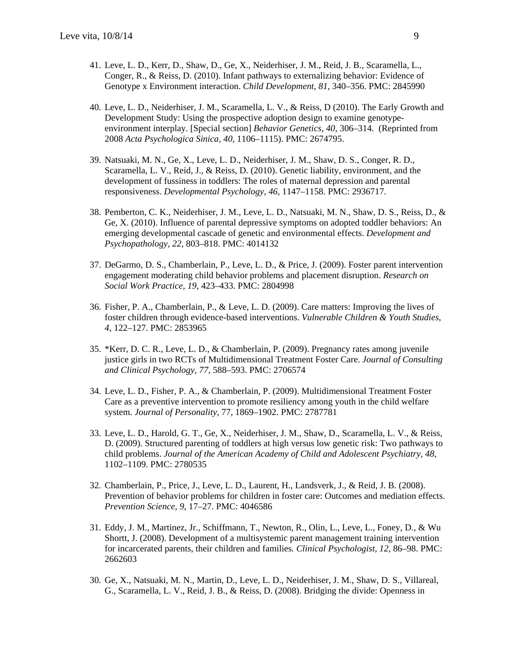- 41. Leve, L. D., Kerr, D., Shaw, D., Ge, X., Neiderhiser, J. M., Reid, J. B., Scaramella, L., Conger, R., & Reiss, D. (2010). Infant pathways to externalizing behavior: Evidence of Genotype x Environment interaction. *Child Development, 81,* 340–356. PMC: 2845990
- 40. Leve, L. D., Neiderhiser, J. M., Scaramella, L. V., & Reiss, D (2010). The Early Growth and Development Study: Using the prospective adoption design to examine genotypeenvironment interplay. [Special section] *Behavior Genetics, 40,* 306–314. (Reprinted from 2008 *Acta Psychologica Sinica, 40,* 1106–1115). PMC: 2674795.
- 39. Natsuaki, M. N., Ge, X., Leve, L. D., Neiderhiser, J. M., Shaw, D. S., Conger, R. D., Scaramella, L. V., Reid, J., & Reiss, D. (2010). Genetic liability, environment, and the development of fussiness in toddlers: The roles of maternal depression and parental responsiveness. *Developmental Psychology, 46,* 1147–1158. PMC: 2936717.
- 38. Pemberton, C. K., Neiderhiser, J. M., Leve, L. D., Natsuaki, M. N., Shaw, D. S., Reiss, D., & Ge, X. (2010). Influence of parental depressive symptoms on adopted toddler behaviors: An emerging developmental cascade of genetic and environmental effects. *Development and Psychopathology, 22*, 803–818. PMC: 4014132
- 37. DeGarmo, D. S., Chamberlain, P., Leve, L. D., & Price, J. (2009). Foster parent intervention engagement moderating child behavior problems and placement disruption. *Research on Social Work Practice, 19*, 423–433. PMC: 2804998
- 36. Fisher, P. A., Chamberlain, P., & Leve, L. D. (2009). Care matters: Improving the lives of foster children through evidence-based interventions. *Vulnerable Children & Youth Studies*, *4*, 122–127. PMC: 2853965
- 35. \*Kerr, D. C. R., Leve, L. D., & Chamberlain, P. (2009). Pregnancy rates among juvenile justice girls in two RCTs of Multidimensional Treatment Foster Care. *Journal of Consulting and Clinical Psychology, 77,* 588–593. PMC: 2706574
- 34. Leve, L. D., Fisher, P. A., & Chamberlain, P. (2009). Multidimensional Treatment Foster Care as a preventive intervention to promote resiliency among youth in the child welfare system. *Journal of Personality,* 77, 1869–1902. PMC: 2787781
- 33. Leve, L. D., Harold, G. T., Ge, X., Neiderhiser, J. M., Shaw, D., Scaramella, L. V., & Reiss, D. (2009). Structured parenting of toddlers at high versus low genetic risk: Two pathways to child problems. *Journal of the American Academy of Child and Adolescent Psychiatry, 48,*  1102–1109. PMC: 2780535
- 32. Chamberlain, P., Price, J., Leve, L. D., Laurent, H., Landsverk, J., & Reid, J. B. (2008). Prevention of behavior problems for children in foster care: Outcomes and mediation effects. *Prevention Science, 9*, 17–27*.* PMC: 4046586
- 31. Eddy, J. M., Martinez, Jr., Schiffmann, T., Newton, R., Olin, L., Leve, L., Foney, D., & Wu Shortt, J. (2008). Development of a multisystemic parent management training intervention for incarcerated parents, their children and families*. Clinical Psychologist*, *12*, 86–98. PMC: 2662603
- 30. Ge, X., Natsuaki, M. N., Martin, D., Leve, L. D., Neiderhiser, J. M., Shaw, D. S., Villareal, G., Scaramella, L. V., Reid, J. B., & Reiss, D. (2008). Bridging the divide: Openness in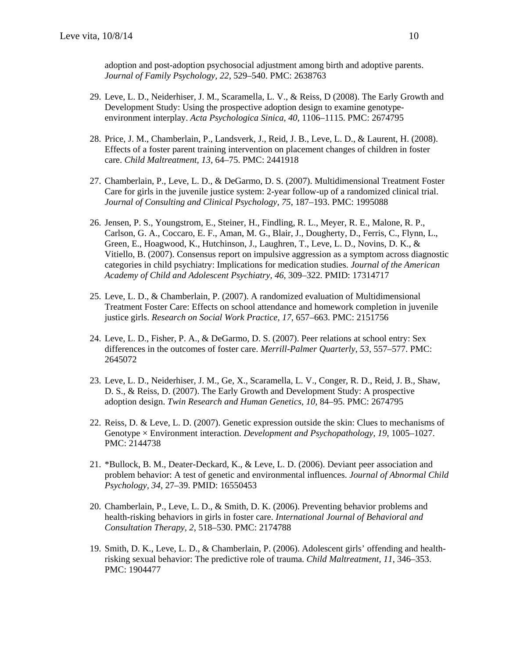adoption and post-adoption psychosocial adjustment among birth and adoptive parents. *Journal of Family Psychology, 22,* 529–540. PMC: 2638763

- 29. Leve, L. D., Neiderhiser, J. M., Scaramella, L. V., & Reiss, D (2008). The Early Growth and Development Study: Using the prospective adoption design to examine genotypeenvironment interplay. *Acta Psychologica Sinica, 40,* 1106–1115. PMC: 2674795
- 28. Price, J. M., Chamberlain, P., Landsverk, J., Reid, J. B., Leve, L. D., & Laurent, H. (2008). Effects of a foster parent training intervention on placement changes of children in foster care. *Child Maltreatment, 13*, 64–75. PMC: 2441918
- 27. Chamberlain, P., Leve, L. D., & DeGarmo, D. S. (2007). Multidimensional Treatment Foster Care for girls in the juvenile justice system: 2-year follow-up of a randomized clinical trial. *Journal of Consulting and Clinical Psychology, 75*, 187–193. PMC: 1995088
- 26. Jensen, P. S., Youngstrom, E., Steiner, H., Findling, R. L., Meyer, R. E., Malone, R. P., Carlson, G. A., Coccaro, E. F., Aman, M. G., Blair, J., Dougherty, D., Ferris, C., Flynn, L., Green, E., Hoagwood, K., Hutchinson, J., Laughren, T., Leve, L. D., Novins, D. K., & Vitiello, B. (2007). Consensus report on impulsive aggression as a symptom across diagnostic categories in child psychiatry: Implications for medication studies. *Journal of the American Academy of Child and Adolescent Psychiatry, 46*, 309–322*.* PMID: 17314717
- 25. Leve, L. D., & Chamberlain, P. (2007). A randomized evaluation of Multidimensional Treatment Foster Care: Effects on school attendance and homework completion in juvenile justice girls. *Research on Social Work Practice, 17*, 657–663. PMC: 2151756
- 24. Leve, L. D., Fisher, P. A., & DeGarmo, D. S. (2007). Peer relations at school entry: Sex differences in the outcomes of foster care. *Merrill-Palmer Quarterly, 53*, 557–577. PMC: 2645072
- 23. Leve, L. D., Neiderhiser, J. M., Ge, X., Scaramella, L. V., Conger, R. D., Reid, J. B., Shaw, D. S., & Reiss, D. (2007). The Early Growth and Development Study: A prospective adoption design. *Twin Research and Human Genetics, 10*, 84–95. PMC: 2674795
- 22. Reiss, D. & Leve, L. D. (2007). Genetic expression outside the skin: Clues to mechanisms of Genotype × Environment interaction. *Development and Psychopathology, 19*, 1005–1027. PMC: 2144738
- 21. \*Bullock, B. M., Deater-Deckard, K., & Leve, L. D. (2006). Deviant peer association and problem behavior: A test of genetic and environmental influences. *Journal of Abnormal Child Psychology, 34*, 27–39. PMID: 16550453
- 20. Chamberlain, P., Leve, L. D., & Smith, D. K. (2006). Preventing behavior problems and health-risking behaviors in girls in foster care. *International Journal of Behavioral and Consultation Therapy, 2*, 518–530. PMC: 2174788
- 19. Smith, D. K., Leve, L. D., & Chamberlain, P. (2006). Adolescent girls' offending and healthrisking sexual behavior: The predictive role of trauma. *Child Maltreatment, 11*, 346–353. PMC: 1904477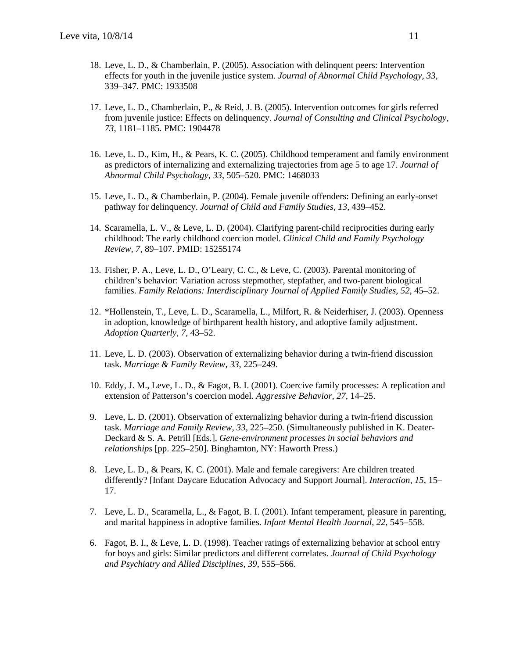- 18. Leve, L. D., & Chamberlain, P. (2005). Association with delinquent peers: Intervention effects for youth in the juvenile justice system. *Journal of Abnormal Child Psychology, 33*, 339–347*.* PMC: 1933508
- 17. Leve, L. D., Chamberlain, P., & Reid, J. B. (2005). Intervention outcomes for girls referred from juvenile justice: Effects on delinquency. *Journal of Consulting and Clinical Psychology, 73*, 1181–1185. PMC: 1904478
- 16. Leve, L. D., Kim, H., & Pears, K. C. (2005). Childhood temperament and family environment as predictors of internalizing and externalizing trajectories from age 5 to age 17. *Journal of Abnormal Child Psychology, 33*, 505–520. PMC: 1468033
- 15. Leve, L. D., & Chamberlain, P. (2004). Female juvenile offenders: Defining an early-onset pathway for delinquency. *Journal of Child and Family Studies, 13*, 439–452.
- 14. Scaramella, L. V., & Leve, L. D. (2004). Clarifying parent-child reciprocities during early childhood: The early childhood coercion model. *Clinical Child and Family Psychology Review, 7*, 89–107. PMID: 15255174
- 13. Fisher, P. A., Leve, L. D., O'Leary, C. C., & Leve, C. (2003). Parental monitoring of children's behavior: Variation across stepmother, stepfather, and two-parent biological families. *Family Relations: Interdisciplinary Journal of Applied Family Studies, 52*, 45–52.
- 12. \*Hollenstein, T., Leve, L. D., Scaramella, L., Milfort, R. & Neiderhiser, J. (2003). Openness in adoption, knowledge of birthparent health history, and adoptive family adjustment. *Adoption Quarterly, 7*, 43–52.
- 11. Leve, L. D. (2003). Observation of externalizing behavior during a twin-friend discussion task. *Marriage & Family Review, 33*, 225–249.
- 10. Eddy, J. M., Leve, L. D., & Fagot, B. I. (2001). Coercive family processes: A replication and extension of Patterson's coercion model. *Aggressive Behavior, 27,* 14–25.
- 9. Leve, L. D. (2001). Observation of externalizing behavior during a twin-friend discussion task. *Marriage and Family Review, 33,* 225–250. (Simultaneously published in K. Deater-Deckard & S. A. Petrill [Eds.], *Gene-environment processes in social behaviors and relationships* [pp. 225–250]. Binghamton, NY: Haworth Press.)
- 8. Leve, L. D., & Pears, K. C. (2001). Male and female caregivers: Are children treated differently? [Infant Daycare Education Advocacy and Support Journal]. *Interaction, 15*, 15– 17.
- 7. Leve, L. D., Scaramella, L., & Fagot, B. I. (2001). Infant temperament, pleasure in parenting, and marital happiness in adoptive families. *Infant Mental Health Journal, 22*, 545–558.
- 6. Fagot, B. I., & Leve, L. D. (1998). Teacher ratings of externalizing behavior at school entry for boys and girls: Similar predictors and different correlates. *Journal of Child Psychology and Psychiatry and Allied Disciplines, 39,* 555–566.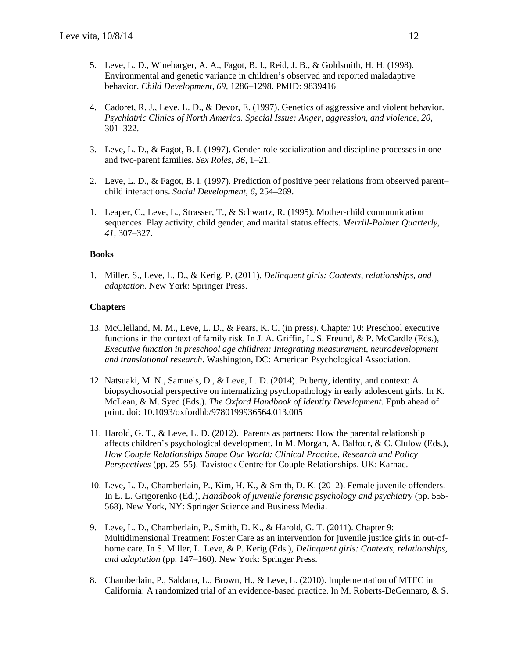- 5. Leve, L. D., Winebarger, A. A., Fagot, B. I., Reid, J. B., & Goldsmith, H. H. (1998). Environmental and genetic variance in children's observed and reported maladaptive behavior. *Child Development, 69,* 1286–1298. PMID: 9839416
- 4. Cadoret, R. J., Leve, L. D., & Devor, E. (1997). Genetics of aggressive and violent behavior. *Psychiatric Clinics of North America. Special Issue: Anger, aggression, and violence, 20,* 301–322.
- 3. Leve, L. D., & Fagot, B. I. (1997). Gender-role socialization and discipline processes in oneand two-parent families. *Sex Roles, 36,* 1–21.
- 2. Leve, L. D., & Fagot, B. I. (1997). Prediction of positive peer relations from observed parent*–* child interactions. *Social Development, 6,* 254–269.
- 1. Leaper, C., Leve, L., Strasser, T., & Schwartz, R. (1995). Mother-child communication sequences: Play activity, child gender, and marital status effects. *Merrill-Palmer Quarterly, 41*, 307–327.

#### **Books**

1. Miller, S., Leve, L. D., & Kerig, P. (2011). *Delinquent girls: Contexts, relationships, and adaptation*. New York: Springer Press.

#### **Chapters**

- 13. McClelland, M. M., Leve, L. D., & Pears, K. C. (in press). Chapter 10: Preschool executive functions in the context of family risk. In J. A. Griffin, L. S. Freund, & P. McCardle (Eds.), *Executive function in preschool age children: Integrating measurement, neurodevelopment and translational research*. Washington, DC: American Psychological Association.
- 12. Natsuaki, M. N., Samuels, D., & Leve, L. D. (2014). Puberty, identity, and context: A biopsychosocial perspective on internalizing psychopathology in early adolescent girls. In K. McLean, & M. Syed (Eds.). *The Oxford Handbook of Identity Development*. Epub ahead of print. doi: 10.1093/oxfordhb/9780199936564.013.005
- 11. Harold, G. T., & Leve, L. D. (2012). Parents as partners: How the parental relationship affects children's psychological development. In M. Morgan, A. Balfour, & C. Clulow (Eds.), *How Couple Relationships Shape Our World: Clinical Practice, Research and Policy Perspectives* (pp. 25–55). Tavistock Centre for Couple Relationships, UK: Karnac.
- 10. Leve, L. D., Chamberlain, P., Kim, H. K., & Smith, D. K. (2012). Female juvenile offenders. In E. L. Grigorenko (Ed.), *Handbook of juvenile forensic psychology and psychiatry* (pp. 555- 568). New York, NY: Springer Science and Business Media.
- 9. Leve, L. D., Chamberlain, P., Smith, D. K., & Harold, G. T. (2011). Chapter 9: Multidimensional Treatment Foster Care as an intervention for juvenile justice girls in out-ofhome care. In S. Miller, L. Leve, & P. Kerig (Eds.), *Delinquent girls: Contexts, relationships, and adaptation* (pp. 147–160). New York: Springer Press.
- 8. Chamberlain, P., Saldana, L., Brown, H., & Leve, L. (2010). Implementation of MTFC in California: A randomized trial of an evidence-based practice. In M. Roberts-DeGennaro, & S.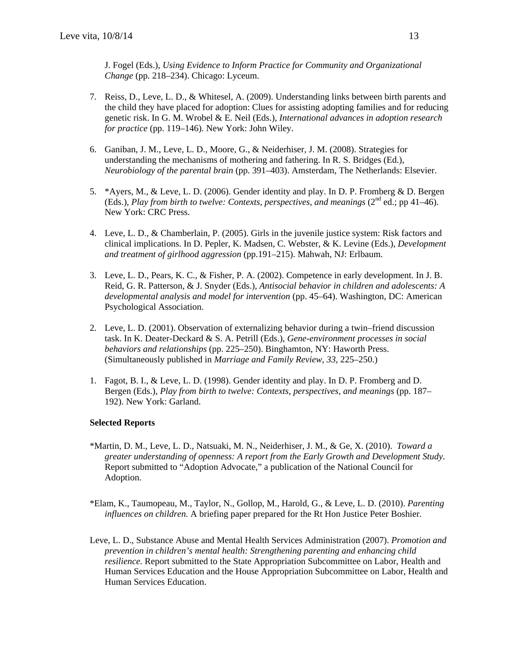J. Fogel (Eds.), *Using Evidence to Inform Practice for Community and Organizational Change* (pp. 218–234). Chicago: Lyceum.

- 7. Reiss, D., Leve, L. D., & Whitesel, A. (2009). Understanding links between birth parents and the child they have placed for adoption: Clues for assisting adopting families and for reducing genetic risk. In G. M. Wrobel & E. Neil (Eds.), *International advances in adoption research for practice* (pp. 119–146). New York: John Wiley.
- 6. Ganiban, J. M., Leve, L. D., Moore, G., & Neiderhiser, J. M. (2008). Strategies for understanding the mechanisms of mothering and fathering. In R. S. Bridges (Ed.), *Neurobiology of the parental brain* (pp. 391–403). Amsterdam, The Netherlands: Elsevier.
- 5. \*Ayers, M., & Leve, L. D. (2006). Gender identity and play. In D. P. Fromberg & D. Bergen (Eds.), *Play from birth to twelve: Contexts, perspectives, and meanings*  $(2^{nd}$  ed.; pp 41–46). New York: CRC Press.
- 4. Leve, L. D., & Chamberlain, P. (2005). Girls in the juvenile justice system: Risk factors and clinical implications. In D. Pepler, K. Madsen, C. Webster, & K. Levine (Eds.), *Development and treatment of girlhood aggression* (pp.191–215). Mahwah, NJ: Erlbaum.
- 3. Leve, L. D., Pears, K. C., & Fisher, P. A. (2002). Competence in early development. In J. B. Reid, G. R. Patterson, & J. Snyder (Eds.), *Antisocial behavior in children and adolescents: A developmental analysis and model for intervention* (pp. 45–64). Washington, DC: American Psychological Association.
- 2. Leve, L. D. (2001). Observation of externalizing behavior during a twin–friend discussion task. In K. Deater-Deckard & S. A. Petrill (Eds.), *Gene-environment processes in social behaviors and relationships* (pp. 225–250). Binghamton, NY: Haworth Press. (Simultaneously published in *Marriage and Family Review, 33,* 225–250.)
- 1. Fagot, B. I., & Leve, L. D. (1998). Gender identity and play. In D. P. Fromberg and D. Bergen (Eds.), *Play from birth to twelve: Contexts, perspectives, and meanings* (pp. 187– 192). New York: Garland.

## **Selected Reports**

- \*Martin, D. M., Leve, L. D., Natsuaki, M. N., Neiderhiser, J. M., & Ge, X. (2010). *Toward a greater understanding of openness: A report from the Early Growth and Development Study*. Report submitted to "Adoption Advocate," a publication of the National Council for Adoption.
- \*Elam, K., Taumopeau, M., Taylor, N., Gollop, M., Harold, G., & Leve, L. D. (2010). *Parenting influences on children.* A briefing paper prepared for the Rt Hon Justice Peter Boshier.
- Leve, L. D., Substance Abuse and Mental Health Services Administration (2007). *Promotion and prevention in children's mental health: Strengthening parenting and enhancing child resilience.* Report submitted to the State Appropriation Subcommittee on Labor, Health and Human Services Education and the House Appropriation Subcommittee on Labor, Health and Human Services Education.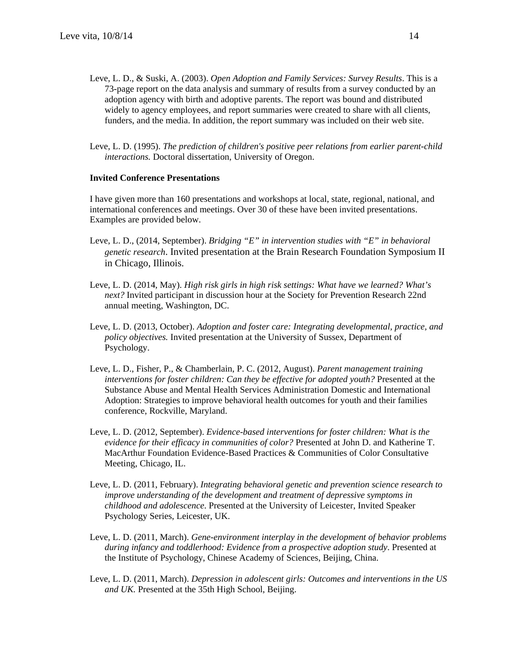- Leve, L. D., & Suski, A. (2003). *Open Adoption and Family Services: Survey Results*. This is a 73-page report on the data analysis and summary of results from a survey conducted by an adoption agency with birth and adoptive parents. The report was bound and distributed widely to agency employees, and report summaries were created to share with all clients, funders, and the media. In addition, the report summary was included on their web site.
- Leve, L. D. (1995). *The prediction of children's positive peer relations from earlier parent-child interactions.* Doctoral dissertation, University of Oregon.

#### **Invited Conference Presentations**

I have given more than 160 presentations and workshops at local, state, regional, national, and international conferences and meetings. Over 30 of these have been invited presentations. Examples are provided below.

- Leve, L. D., (2014, September). *Bridging "E" in intervention studies with "E" in behavioral genetic research*. Invited presentation at the Brain Research Foundation Symposium II in Chicago, Illinois.
- Leve, L. D. (2014, May). *High risk girls in high risk settings: What have we learned? What's next?* Invited participant in discussion hour at the Society for Prevention Research 22nd annual meeting, Washington, DC.
- Leve, L. D. (2013, October). *Adoption and foster care: Integrating developmental, practice, and policy objectives.* Invited presentation at the University of Sussex, Department of Psychology.
- Leve, L. D., Fisher, P., & Chamberlain, P. C. (2012, August). *Parent management training interventions for foster children: Can they be effective for adopted youth?* Presented at the Substance Abuse and Mental Health Services Administration Domestic and International Adoption: Strategies to improve behavioral health outcomes for youth and their families conference, Rockville, Maryland.
- Leve, L. D. (2012, September). *Evidence-based interventions for foster children: What is the evidence for their efficacy in communities of color?* Presented at John D. and Katherine T. MacArthur Foundation Evidence-Based Practices & Communities of Color Consultative Meeting, Chicago, IL.
- Leve, L. D. (2011, February). *Integrating behavioral genetic and prevention science research to improve understanding of the development and treatment of depressive symptoms in childhood and adolescence*. Presented at the University of Leicester, Invited Speaker Psychology Series, Leicester, UK.
- Leve, L. D. (2011, March). *Gene-environment interplay in the development of behavior problems during infancy and toddlerhood: Evidence from a prospective adoption study*. Presented at the Institute of Psychology, Chinese Academy of Sciences, Beijing, China.
- Leve, L. D. (2011, March). *Depression in adolescent girls: Outcomes and interventions in the US and UK.* Presented at the 35th High School, Beijing.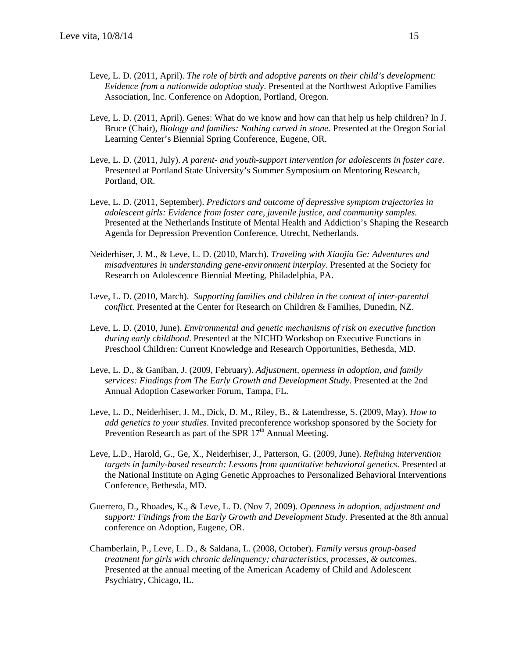- Leve, L. D. (2011, April). *The role of birth and adoptive parents on their child's development: Evidence from a nationwide adoption study*. Presented at the Northwest Adoptive Families Association, Inc. Conference on Adoption, Portland, Oregon.
- Leve, L. D. (2011, April). Genes: What do we know and how can that help us help children? In J. Bruce (Chair), *Biology and families: Nothing carved in stone.* Presented at the Oregon Social Learning Center's Biennial Spring Conference, Eugene, OR.
- Leve, L. D. (2011, July). *A parent- and youth-support intervention for adolescents in foster care.* Presented at Portland State University's Summer Symposium on Mentoring Research, Portland, OR.
- Leve, L. D. (2011, September). *Predictors and outcome of depressive symptom trajectories in adolescent girls: Evidence from foster care, juvenile justice, and community samples.* Presented at the Netherlands Institute of Mental Health and Addiction's Shaping the Research Agenda for Depression Prevention Conference, Utrecht, Netherlands.
- Neiderhiser, J. M., & Leve, L. D. (2010, March). *Traveling with Xiaojia Ge: Adventures and misadventures in understanding gene-environment interplay*. Presented at the Society for Research on Adolescence Biennial Meeting, Philadelphia, PA.
- Leve, L. D. (2010, March). *Supporting families and children in the context of inter-parental conflict*. Presented at the Center for Research on Children & Families, Dunedin, NZ.
- Leve, L. D. (2010, June). *Environmental and genetic mechanisms of risk on executive function during early childhood*. Presented at the NICHD Workshop on Executive Functions in Preschool Children: Current Knowledge and Research Opportunities, Bethesda, MD.
- Leve, L. D., & Ganiban, J. (2009, February). *Adjustment, openness in adoption, and family services: Findings from The Early Growth and Development Study*. Presented at the 2nd Annual Adoption Caseworker Forum, Tampa, FL.
- Leve, L. D., Neiderhiser, J. M., Dick, D. M., Riley, B., & Latendresse, S. (2009, May). *How to add genetics to your studies*. Invited preconference workshop sponsored by the Society for Prevention Research as part of the SPR  $17<sup>th</sup>$  Annual Meeting.
- Leve, L.D., Harold, G., Ge, X., Neiderhiser, J., Patterson, G. (2009, June). *Refining intervention targets in family-based research: Lessons from quantitative behavioral genetics*. Presented at the National Institute on Aging Genetic Approaches to Personalized Behavioral Interventions Conference, Bethesda, MD.
- Guerrero, D., Rhoades, K., & Leve, L. D. (Nov 7, 2009). *Openness in adoption, adjustment and support: Findings from the Early Growth and Development Study*. Presented at the 8th annual conference on Adoption, Eugene, OR.
- Chamberlain, P., Leve, L. D., & Saldana, L. (2008, October). *Family versus group-based treatment for girls with chronic delinquency; characteristics, processes, & outcomes*. Presented at the annual meeting of the American Academy of Child and Adolescent Psychiatry, Chicago, IL.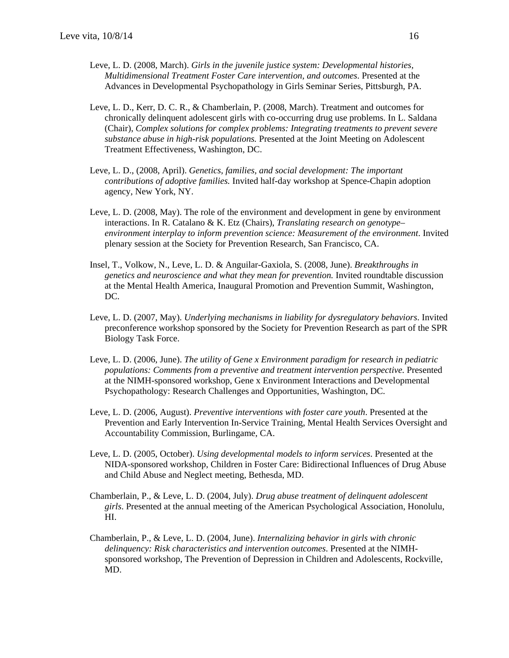- Leve, L. D. (2008, March). *Girls in the juvenile justice system: Developmental histories, Multidimensional Treatment Foster Care intervention, and outcomes*. Presented at the Advances in Developmental Psychopathology in Girls Seminar Series, Pittsburgh, PA.
- Leve, L. D., Kerr, D. C. R., & Chamberlain, P. (2008, March). Treatment and outcomes for chronically delinquent adolescent girls with co-occurring drug use problems. In L. Saldana (Chair), *Complex solutions for complex problems: Integrating treatments to prevent severe substance abuse in high-risk populations.* Presented at the Joint Meeting on Adolescent Treatment Effectiveness, Washington, DC.
- Leve, L. D., (2008, April). *Genetics, families, and social development: The important contributions of adoptive families.* Invited half-day workshop at Spence-Chapin adoption agency, New York, NY.
- Leve, L. D. (2008, May). The role of the environment and development in gene by environment interactions. In R. Catalano & K. Etz (Chairs), *Translating research on genotype– environment interplay to inform prevention science: Measurement of the environment*. Invited plenary session at the Society for Prevention Research, San Francisco, CA.
- Insel, T., Volkow, N., Leve, L. D. & Anguilar-Gaxiola, S. (2008, June). *Breakthroughs in genetics and neuroscience and what they mean for prevention.* Invited roundtable discussion at the Mental Health America, Inaugural Promotion and Prevention Summit, Washington, DC.
- Leve, L. D. (2007, May). *Underlying mechanisms in liability for dysregulatory behaviors*. Invited preconference workshop sponsored by the Society for Prevention Research as part of the SPR Biology Task Force.
- Leve, L. D. (2006, June). *The utility of Gene x Environment paradigm for research in pediatric populations: Comments from a preventive and treatment intervention perspective.* Presented at the NIMH-sponsored workshop, Gene x Environment Interactions and Developmental Psychopathology: Research Challenges and Opportunities, Washington, DC.
- Leve, L. D. (2006, August). *Preventive interventions with foster care youth*. Presented at the Prevention and Early Intervention In-Service Training, Mental Health Services Oversight and Accountability Commission, Burlingame, CA.
- Leve, L. D. (2005, October). *Using developmental models to inform services*. Presented at the NIDA-sponsored workshop, Children in Foster Care: Bidirectional Influences of Drug Abuse and Child Abuse and Neglect meeting, Bethesda, MD.
- Chamberlain, P., & Leve, L. D. (2004, July). *Drug abuse treatment of delinquent adolescent girls*. Presented at the annual meeting of the American Psychological Association, Honolulu, HI.
- Chamberlain, P., & Leve, L. D. (2004, June). *Internalizing behavior in girls with chronic delinquency: Risk characteristics and intervention outcomes*. Presented at the NIMHsponsored workshop, The Prevention of Depression in Children and Adolescents, Rockville, MD.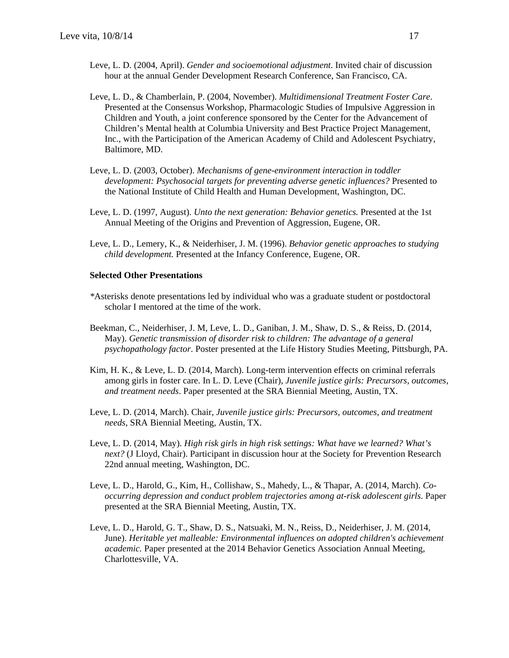- Leve, L. D. (2004, April). *Gender and socioemotional adjustment*. Invited chair of discussion hour at the annual Gender Development Research Conference, San Francisco, CA.
- Leve, L. D., & Chamberlain, P. (2004, November). *Multidimensional Treatment Foster Care*. Presented at the Consensus Workshop, Pharmacologic Studies of Impulsive Aggression in Children and Youth, a joint conference sponsored by the Center for the Advancement of Children's Mental health at Columbia University and Best Practice Project Management, Inc., with the Participation of the American Academy of Child and Adolescent Psychiatry, Baltimore, MD.
- Leve, L. D. (2003, October). *Mechanisms of gene-environment interaction in toddler development: Psychosocial targets for preventing adverse genetic influences?* Presented to the National Institute of Child Health and Human Development, Washington, DC.
- Leve, L. D. (1997, August). *Unto the next generation: Behavior genetics.* Presented at the 1st Annual Meeting of the Origins and Prevention of Aggression, Eugene, OR.
- Leve, L. D., Lemery, K., & Neiderhiser, J. M. (1996). *Behavior genetic approaches to studying child development.* Presented at the Infancy Conference, Eugene, OR.

#### **Selected Other Presentations**

- *\**Asterisks denote presentations led by individual who was a graduate student or postdoctoral scholar I mentored at the time of the work.
- Beekman, C., Neiderhiser, J. M, Leve, L. D., Ganiban, J. M., Shaw, D. S., & Reiss, D. (2014, May). *Genetic transmission of disorder risk to children: The advantage of a general psychopathology factor*. Poster presented at the Life History Studies Meeting, Pittsburgh, PA.
- Kim, H. K., & Leve, L. D. (2014, March). Long-term intervention effects on criminal referrals among girls in foster care. In L. D. Leve (Chair), *Juvenile justice girls: Precursors, outcomes, and treatment needs*. Paper presented at the SRA Biennial Meeting, Austin, TX.
- Leve, L. D. (2014, March). Chair, *Juvenile justice girls: Precursors, outcomes, and treatment needs*, SRA Biennial Meeting, Austin, TX.
- Leve, L. D. (2014, May). *High risk girls in high risk settings: What have we learned? What's next?* (J Lloyd, Chair). Participant in discussion hour at the Society for Prevention Research 22nd annual meeting, Washington, DC.
- Leve, L. D., Harold, G., Kim, H., Collishaw, S., Mahedy, L., & Thapar, A. (2014, March). *Cooccurring depression and conduct problem trajectories among at-risk adolescent girls*. Paper presented at the SRA Biennial Meeting, Austin, TX.
- Leve, L. D., Harold, G. T., Shaw, D. S., Natsuaki, M. N., Reiss, D., Neiderhiser, J. M. (2014, June). *Heritable yet malleable: Environmental influences on adopted children's achievement academic.* Paper presented at the 2014 Behavior Genetics Association Annual Meeting, Charlottesville, VA.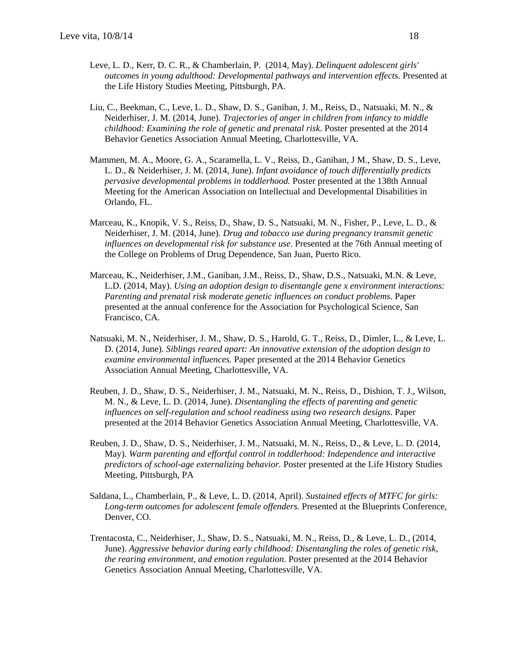- Leve, L. D., Kerr, D. C. R., & Chamberlain, P. (2014, May). *Delinquent adolescent girls' outcomes in young adulthood: Developmental pathways and intervention effects*. Presented at the Life History Studies Meeting, Pittsburgh, PA.
- Liu, C., Beekman, C., Leve, L. D., Shaw, D. S., Ganiban, J. M., Reiss, D., Natsuaki, M. N., & Neiderhiser, J. M. (2014, June). *Trajectories of anger in children from infancy to middle childhood: Examining the role of genetic and prenatal risk*. Poster presented at the 2014 Behavior Genetics Association Annual Meeting, Charlottesville, VA.
- Mammen, M. A., Moore, G. A., Scaramella, L. V., Reiss, D., Ganiban, J M., Shaw, D. S., Leve, L. D., & Neiderhiser, J. M. (2014, June). *Infant avoidance of touch differentially predicts pervasive developmental problems in toddlerhood.* Poster presented at the 138th Annual Meeting for the American Association on Intellectual and Developmental Disabilities in Orlando, FL.
- Marceau, K., Knopik, V. S., Reiss, D., Shaw, D. S., Natsuaki, M. N., Fisher, P., Leve, L. D., & Neiderhiser, J. M. (2014, June). *Drug and tobacco use during pregnancy transmit genetic influences on developmental risk for substance use*. Presented at the 76th Annual meeting of the College on Problems of Drug Dependence, San Juan, Puerto Rico.
- Marceau, K., Neiderhiser, J.M., Ganiban, J.M., Reiss, D., Shaw, D.S., Natsuaki, M.N. & Leve, L.D. (2014, May). *Using an adoption design to disentangle gene x environment interactions: Parenting and prenatal risk moderate genetic influences on conduct problems*. Paper presented at the annual conference for the Association for Psychological Science, San Francisco, CA.
- Natsuaki, M. N., Neiderhiser, J. M., Shaw, D. S., Harold, G. T., Reiss, D., Dimler, L., & Leve, L. D. (2014, June). *Siblings reared apart: An innovative extension of the adoption design to examine environmental influences.* Paper presented at the 2014 Behavior Genetics Association Annual Meeting, Charlottesville, VA.
- Reuben, J. D., Shaw, D. S., Neiderhiser, J. M., Natsuaki, M. N., Reiss, D., Dishion, T. J., Wilson, M. N., & Leve, L. D. (2014, June). *Disentangling the effects of parenting and genetic influences on self-regulation and school readiness using two research designs*. Paper presented at the 2014 Behavior Genetics Association Annual Meeting, Charlottesville, VA.
- Reuben, J. D., Shaw, D. S., Neiderhiser, J. M., Natsuaki, M. N., Reiss, D., & Leve, L. D. (2014, May). *Warm parenting and effortful control in toddlerhood: Independence and interactive predictors of school-age externalizing behavior.* Poster presented at the Life History Studies Meeting, Pittsburgh, PA
- Saldana, L., Chamberlain, P., & Leve, L. D. (2014, April). *Sustained effects of MTFC for girls: Long-term outcomes for adolescent female offenders.* Presented at the Blueprints Conference, Denver, CO.
- Trentacosta, C., Neiderhiser, J., Shaw, D. S., Natsuaki, M. N., Reiss, D., & Leve, L. D., (2014, June). *Aggressive behavior during early childhood: Disentangling the roles of genetic risk, the rearing environment, and emotion regulation*. Poster presented at the 2014 Behavior Genetics Association Annual Meeting, Charlottesville, VA.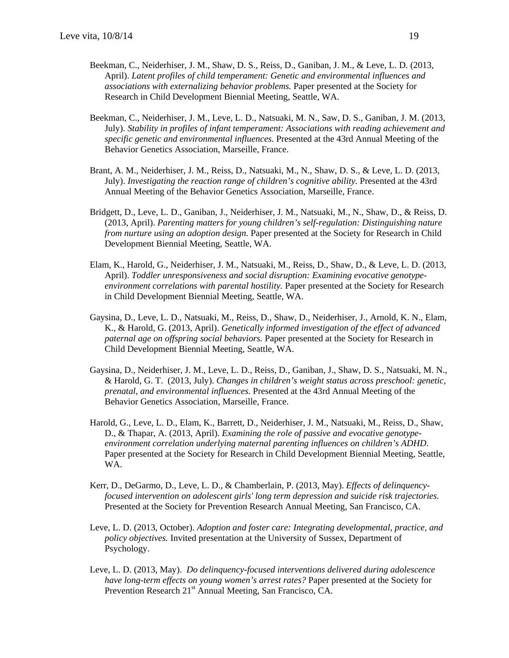- Beekman, C., Neiderhiser, J. M., Shaw, D. S., Reiss, D., Ganiban, J. M., & Leve, L. D. (2013, April). *Latent profiles of child temperament: Genetic and environmental influences and associations with externalizing behavior problems.* Paper presented at the Society for Research in Child Development Biennial Meeting, Seattle, WA.
- Beekman, C., Neiderhiser, J. M., Leve, L. D., Natsuaki, M. N., Saw, D. S., Ganiban, J. M. (2013, July). *Stability in profiles of infant temperament: Associations with reading achievement and specific genetic and environmental influences.* Presented at the 43rd Annual Meeting of the Behavior Genetics Association, Marseille, France.
- Brant, A. M., Neiderhiser, J. M., Reiss, D., Natsuaki, M., N., Shaw, D. S., & Leve, L. D. (2013, July). *Investigating the reaction range of children's cognitive ability.* Presented at the 43rd Annual Meeting of the Behavior Genetics Association, Marseille, France.
- Bridgett, D., Leve, L. D., Ganiban, J., Neiderhiser, J. M., Natsuaki, M., N., Shaw, D., & Reiss, D. (2013, April). *Parenting matters for young children's self-regulation: Distinguishing nature from nurture using an adoption design.* Paper presented at the Society for Research in Child Development Biennial Meeting, Seattle, WA.
- Elam, K., Harold, G., Neiderhiser, J. M., Natsuaki, M., Reiss, D., Shaw, D., & Leve, L. D. (2013, April). *Toddler unresponsiveness and social disruption: Examining evocative genotypeenvironment correlations with parental hostility.* Paper presented at the Society for Research in Child Development Biennial Meeting, Seattle, WA.
- Gaysina, D., Leve, L. D., Natsuaki, M., Reiss, D., Shaw, D., Neiderhiser, J., Arnold, K. N., Elam, K., & Harold, G. (2013, April). *Genetically informed investigation of the effect of advanced paternal age on offspring social behaviors.* Paper presented at the Society for Research in Child Development Biennial Meeting, Seattle, WA.
- Gaysina, D., Neiderhiser, J. M., Leve, L. D., Reiss, D., Ganiban, J., Shaw, D. S., Natsuaki, M. N., & Harold, G. T. (2013, July). *Changes in children's weight status across preschool: genetic, prenatal, and environmental influences.* Presented at the 43rd Annual Meeting of the Behavior Genetics Association, Marseille, France.
- Harold, G., Leve, L. D., Elam, K., Barrett, D., Neiderhiser, J. M., Natsuaki, M., Reiss, D., Shaw, D., & Thapar, A. (2013, April). *Examining the role of passive and evocative genotypeenvironment correlation underlying maternal parenting influences on children's ADHD*. Paper presented at the Society for Research in Child Development Biennial Meeting, Seattle, WA.
- Kerr, D., DeGarmo, D., Leve, L. D., & Chamberlain, P. (2013, May). *Effects of delinquencyfocused intervention on adolescent girls' long term depression and suicide risk trajectories.* Presented at the Society for Prevention Research Annual Meeting, San Francisco, CA.
- Leve, L. D. (2013, October). *Adoption and foster care: Integrating developmental, practice, and policy objectives.* Invited presentation at the University of Sussex, Department of Psychology.
- Leve, L. D. (2013, May). *Do delinquency-focused interventions delivered during adolescence have long-term effects on young women's arrest rates?* Paper presented at the Society for Prevention Research 21<sup>st</sup> Annual Meeting, San Francisco, CA.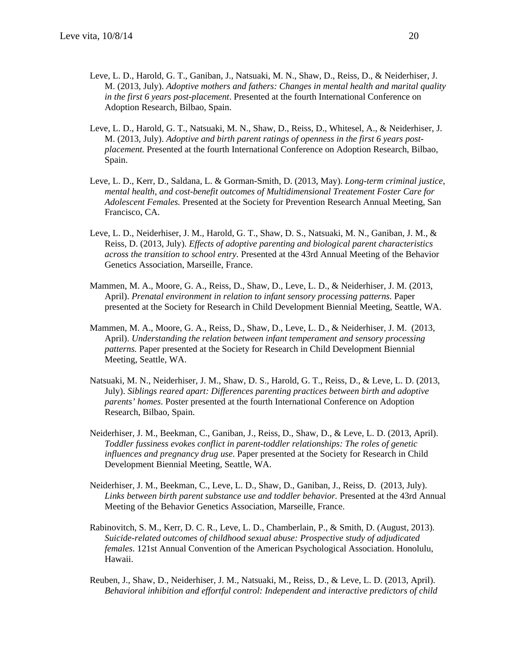- Leve, L. D., Harold, G. T., Ganiban, J., Natsuaki, M. N., Shaw, D., Reiss, D., & Neiderhiser, J. M. (2013, July). *Adoptive mothers and fathers: Changes in mental health and marital quality in the first 6 years post-placement*. Presented at the fourth International Conference on Adoption Research, Bilbao, Spain.
- Leve, L. D., Harold, G. T., Natsuaki, M. N., Shaw, D., Reiss, D., Whitesel, A., & Neiderhiser, J. M. (2013, July). *Adoptive and birth parent ratings of openness in the first 6 years postplacement.* Presented at the fourth International Conference on Adoption Research, Bilbao, Spain.
- Leve, L. D., Kerr, D., Saldana, L. & Gorman-Smith, D. (2013, May). *Long-term criminal justice, mental health, and cost-benefit outcomes of Multidimensional Treatement Foster Care for Adolescent Females.* Presented at the Society for Prevention Research Annual Meeting, San Francisco, CA.
- Leve, L. D., Neiderhiser, J. M., Harold, G. T., Shaw, D. S., Natsuaki, M. N., Ganiban, J. M., & Reiss, D. (2013, July). *Effects of adoptive parenting and biological parent characteristics across the transition to school entry.* Presented at the 43rd Annual Meeting of the Behavior Genetics Association, Marseille, France.
- Mammen, M. A., Moore, G. A., Reiss, D., Shaw, D., Leve, L. D., & Neiderhiser, J. M. (2013, April). *Prenatal environment in relation to infant sensory processing patterns*. Paper presented at the Society for Research in Child Development Biennial Meeting, Seattle, WA.
- Mammen, M. A., Moore, G. A., Reiss, D., Shaw, D., Leve, L. D., & Neiderhiser, J. M. (2013, April). *Understanding the relation between infant temperament and sensory processing patterns.* Paper presented at the Society for Research in Child Development Biennial Meeting, Seattle, WA.
- Natsuaki, M. N., Neiderhiser, J. M., Shaw, D. S., Harold, G. T., Reiss, D., & Leve, L. D. (2013, July). *Siblings reared apart: Differences parenting practices between birth and adoptive parents' homes*. Poster presented at the fourth International Conference on Adoption Research, Bilbao, Spain.
- Neiderhiser, J. M., Beekman, C., Ganiban, J., Reiss, D., Shaw, D., & Leve, L. D. (2013, April). *Toddler fussiness evokes conflict in parent-toddler relationships: The roles of genetic influences and pregnancy drug use*. Paper presented at the Society for Research in Child Development Biennial Meeting, Seattle, WA.
- Neiderhiser, J. M., Beekman, C., Leve, L. D., Shaw, D., Ganiban, J., Reiss, D. (2013, July). *Links between birth parent substance use and toddler behavior.* Presented at the 43rd Annual Meeting of the Behavior Genetics Association, Marseille, France.
- Rabinovitch, S. M., Kerr, D. C. R., Leve, L. D., Chamberlain, P., & Smith, D. (August, 2013). *Suicide-related outcomes of childhood sexual abuse: Prospective study of adjudicated females*. 121st Annual Convention of the American Psychological Association. Honolulu, Hawaii.
- Reuben, J., Shaw, D., Neiderhiser, J. M., Natsuaki, M., Reiss, D., & Leve, L. D. (2013, April). *Behavioral inhibition and effortful control: Independent and interactive predictors of child*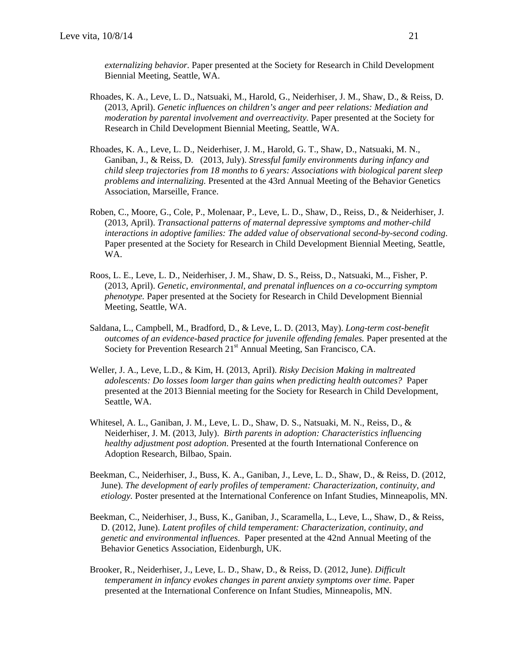*externalizing behavior.* Paper presented at the Society for Research in Child Development Biennial Meeting, Seattle, WA.

- Rhoades, K. A., Leve, L. D., Natsuaki, M., Harold, G., Neiderhiser, J. M., Shaw, D., & Reiss, D. (2013, April). *Genetic influences on children's anger and peer relations: Mediation and moderation by parental involvement and overreactivity.* Paper presented at the Society for Research in Child Development Biennial Meeting, Seattle, WA.
- Rhoades, K. A., Leve, L. D., Neiderhiser, J. M., Harold, G. T., Shaw, D., Natsuaki, M. N., Ganiban, J., & Reiss, D. (2013, July). *Stressful family environments during infancy and child sleep trajectories from 18 months to 6 years: Associations with biological parent sleep problems and internalizing.* Presented at the 43rd Annual Meeting of the Behavior Genetics Association, Marseille, France.
- Roben, C., Moore, G., Cole, P., Molenaar, P., Leve, L. D., Shaw, D., Reiss, D., & Neiderhiser, J. (2013, April). *Transactional patterns of maternal depressive symptoms and mother-child interactions in adoptive families: The added value of observational second-by-second coding*. Paper presented at the Society for Research in Child Development Biennial Meeting, Seattle, WA.
- Roos, L. E., Leve, L. D., Neiderhiser, J. M., Shaw, D. S., Reiss, D., Natsuaki, M.., Fisher, P. (2013, April). *Genetic, environmental, and prenatal influences on a co-occurring symptom phenotype.* Paper presented at the Society for Research in Child Development Biennial Meeting, Seattle, WA.
- Saldana, L., Campbell, M., Bradford, D., & Leve, L. D. (2013, May). *Long-term cost-benefit outcomes of an evidence-based practice for juvenile offending females.* Paper presented at the Society for Prevention Research 21<sup>st</sup> Annual Meeting, San Francisco, CA.
- Weller, J. A., Leve, L.D., & Kim, H. (2013, April). *Risky Decision Making in maltreated adolescents: Do losses loom larger than gains when predicting health outcomes?* Paper presented at the 2013 Biennial meeting for the Society for Research in Child Development, Seattle, WA.
- Whitesel, A. L., Ganiban, J. M., Leve, L. D., Shaw, D. S., Natsuaki, M. N., Reiss, D., & Neiderhiser, J. M. (2013, July). *Birth parents in adoption: Characteristics influencing healthy adjustment post adoption*. Presented at the fourth International Conference on Adoption Research, Bilbao, Spain.
- Beekman, C., Neiderhiser, J., Buss, K. A., Ganiban, J., Leve, L. D., Shaw, D., & Reiss, D. (2012, June). *The development of early profiles of temperament: Characterization, continuity, and etiology.* Poster presented at the International Conference on Infant Studies, Minneapolis, MN.
- Beekman, C., Neiderhiser, J., Buss, K., Ganiban, J., Scaramella, L., Leve, L., Shaw, D., & Reiss, D. (2012, June). *Latent profiles of child temperament: Characterization, continuity, and genetic and environmental influences*. Paper presented at the 42nd Annual Meeting of the Behavior Genetics Association, Eidenburgh, UK.
- Brooker, R., Neiderhiser, J., Leve, L. D., Shaw, D., & Reiss, D. (2012, June). *Difficult temperament in infancy evokes changes in parent anxiety symptoms over time. Paper* presented at the International Conference on Infant Studies, Minneapolis, MN.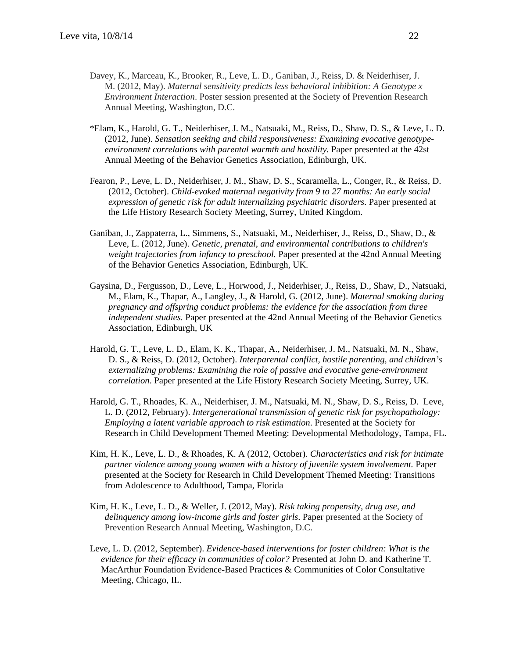- Davey, K., Marceau, K., Brooker, R., Leve, L. D., Ganiban, J., Reiss, D. & Neiderhiser, J. M. (2012, May). *Maternal sensitivity predicts less behavioral inhibition: A Genotype x Environment Interaction*. Poster session presented at the Society of Prevention Research Annual Meeting, Washington, D.C.
- \*Elam, K., Harold, G. T., Neiderhiser, J. M., Natsuaki, M., Reiss, D., Shaw, D. S., & Leve, L. D. (2012, June). *Sensation seeking and child responsiveness: Examining evocative genotypeenvironment correlations with parental warmth and hostility.* Paper presented at the 42st Annual Meeting of the Behavior Genetics Association, Edinburgh, UK.
- Fearon, P., Leve, L. D., Neiderhiser, J. M., Shaw, D. S., Scaramella, L., Conger, R., & Reiss, D. (2012, October). *Child-evoked maternal negativity from 9 to 27 months: An early social expression of genetic risk for adult internalizing psychiatric disorders*. Paper presented at the Life History Research Society Meeting, Surrey, United Kingdom.
- Ganiban, J., Zappaterra, L., Simmens, S., Natsuaki, M., Neiderhiser, J., Reiss, D., Shaw, D., & Leve, L. (2012, June). *Genetic, prenatal, and environmental contributions to children's weight trajectories from infancy to preschool.* Paper presented at the 42nd Annual Meeting of the Behavior Genetics Association, Edinburgh, UK.
- Gaysina, D., Fergusson, D., Leve, L., Horwood, J., Neiderhiser, J., Reiss, D., Shaw, D., Natsuaki, M., Elam, K., Thapar, A., Langley, J., & Harold, G. (2012, June). *Maternal smoking during pregnancy and offspring conduct problems: the evidence for the association from three independent studies.* Paper presented at the 42nd Annual Meeting of the Behavior Genetics Association, Edinburgh, UK
- Harold, G. T., Leve, L. D., Elam, K. K., Thapar, A., Neiderhiser, J. M., Natsuaki, M. N., Shaw, D. S., & Reiss, D. (2012, October). *Interparental conflict, hostile parenting, and children's externalizing problems: Examining the role of passive and evocative gene-environment correlation*. Paper presented at the Life History Research Society Meeting, Surrey, UK.
- Harold, G. T., Rhoades, K. A., Neiderhiser, J. M., Natsuaki, M. N., Shaw, D. S., Reiss, D. Leve, L. D. (2012, February). *Intergenerational transmission of genetic risk for psychopathology: Employing a latent variable approach to risk estimation*. Presented at the Society for Research in Child Development Themed Meeting: Developmental Methodology, Tampa, FL.
- Kim, H. K., Leve, L. D., & Rhoades, K. A (2012, October). *Characteristics and risk for intimate partner violence among young women with a history of juvenile system involvement.* Paper presented at the Society for Research in Child Development Themed Meeting: Transitions from Adolescence to Adulthood, Tampa, Florida
- Kim, H. K., Leve, L. D., & Weller, J. (2012, May). *Risk taking propensity, drug use, and delinquency among low-income girls and foster girls*. Paper presented at the Society of Prevention Research Annual Meeting, Washington, D.C.
- Leve, L. D. (2012, September). *Evidence-based interventions for foster children: What is the evidence for their efficacy in communities of color?* Presented at John D. and Katherine T. MacArthur Foundation Evidence-Based Practices & Communities of Color Consultative Meeting, Chicago, IL.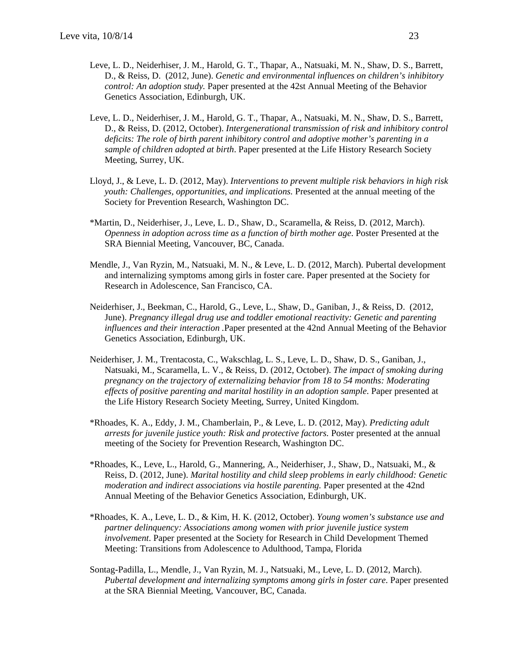- Leve, L. D., Neiderhiser, J. M., Harold, G. T., Thapar, A., Natsuaki, M. N., Shaw, D. S., Barrett, D., & Reiss, D. (2012, June). *Genetic and environmental influences on children's inhibitory control: An adoption study.* Paper presented at the 42st Annual Meeting of the Behavior Genetics Association, Edinburgh, UK.
- Leve, L. D., Neiderhiser, J. M., Harold, G. T., Thapar, A., Natsuaki, M. N., Shaw, D. S., Barrett, D., & Reiss, D. (2012, October). *Intergenerational transmission of risk and inhibitory control deficits: The role of birth parent inhibitory control and adoptive mother's parenting in a sample of children adopted at birth*. Paper presented at the Life History Research Society Meeting, Surrey, UK.
- Lloyd, J., & Leve, L. D. (2012, May). *Interventions to prevent multiple risk behaviors in high risk youth: Challenges, opportunities, and implications.* Presented at the annual meeting of the Society for Prevention Research, Washington DC.
- \*Martin, D., Neiderhiser, J., Leve, L. D., Shaw, D., Scaramella, & Reiss, D. (2012, March). *Openness in adoption across time as a function of birth mother age*. Poster Presented at the SRA Biennial Meeting, Vancouver, BC, Canada.
- Mendle, J., Van Ryzin, M., Natsuaki, M. N., & Leve, L. D. (2012, March). Pubertal development and internalizing symptoms among girls in foster care. Paper presented at the Society for Research in Adolescence, San Francisco, CA.
- Neiderhiser, J., Beekman, C., Harold, G., Leve, L., Shaw, D., Ganiban, J., & Reiss, D. (2012, June). *Pregnancy illegal drug use and toddler emotional reactivity: Genetic and parenting influences and their interaction .*Paper presented at the 42nd Annual Meeting of the Behavior Genetics Association, Edinburgh, UK.
- Neiderhiser, J. M., Trentacosta, C., Wakschlag, L. S., Leve, L. D., Shaw, D. S., Ganiban, J., Natsuaki, M., Scaramella, L. V., & Reiss, D. (2012, October). *The impact of smoking during pregnancy on the trajectory of externalizing behavior from 18 to 54 months: Moderating effects of positive parenting and marital hostility in an adoption sample*. Paper presented at the Life History Research Society Meeting, Surrey, United Kingdom.
- \*Rhoades, K. A., Eddy, J. M., Chamberlain, P., & Leve, L. D. (2012, May). *Predicting adult arrests for juvenile justice youth: Risk and protective factors.* Poster presented at the annual meeting of the Society for Prevention Research, Washington DC.
- \*Rhoades, K., Leve, L., Harold, G., Mannering, A., Neiderhiser, J., Shaw, D., Natsuaki, M., & Reiss, D. (2012, June). *Marital hostility and child sleep problems in early childhood: Genetic moderation and indirect associations via hostile parenting.* Paper presented at the 42nd Annual Meeting of the Behavior Genetics Association, Edinburgh, UK.
- \*Rhoades, K. A., Leve, L. D., & Kim, H. K. (2012, October). *Young women's substance use and partner delinquency: Associations among women with prior juvenile justice system involvement*. Paper presented at the Society for Research in Child Development Themed Meeting: Transitions from Adolescence to Adulthood, Tampa, Florida
- Sontag-Padilla, L., Mendle, J., Van Ryzin, M. J., Natsuaki, M., Leve, L. D. (2012, March). *Pubertal development and internalizing symptoms among girls in foster care*. Paper presented at the SRA Biennial Meeting, Vancouver, BC, Canada.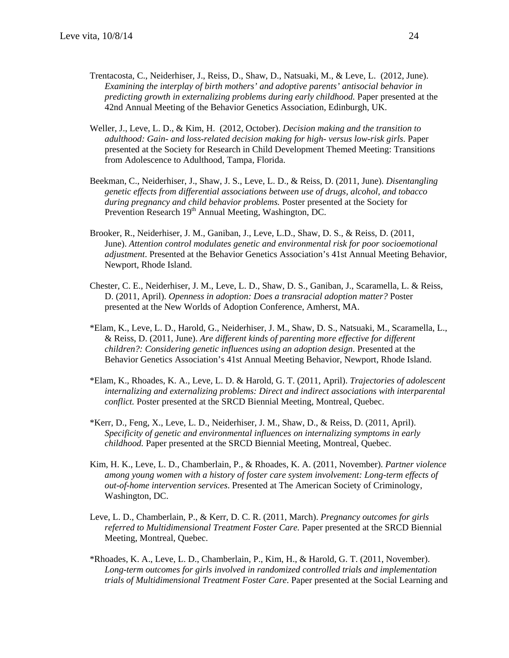- Trentacosta, C., Neiderhiser, J., Reiss, D., Shaw, D., Natsuaki, M., & Leve, L. (2012, June). *Examining the interplay of birth mothers' and adoptive parents' antisocial behavior in predicting growth in externalizing problems during early childhood.* Paper presented at the 42nd Annual Meeting of the Behavior Genetics Association, Edinburgh, UK.
- Weller, J., Leve, L. D., & Kim, H. (2012, October). *Decision making and the transition to adulthood: Gain- and loss-related decision making for high- versus low-risk girls*. Paper presented at the Society for Research in Child Development Themed Meeting: Transitions from Adolescence to Adulthood, Tampa, Florida.
- Beekman, C., Neiderhiser, J., Shaw, J. S., Leve, L. D., & Reiss, D. (2011, June). *Disentangling genetic effects from differential associations between use of drugs, alcohol, and tobacco during pregnancy and child behavior problems.* Poster presented at the Society for Prevention Research 19<sup>th</sup> Annual Meeting, Washington, DC.
- Brooker, R., Neiderhiser, J. M., Ganiban, J., Leve, L.D., Shaw, D. S., & Reiss, D. (2011, June). *Attention control modulates genetic and environmental risk for poor socioemotional adjustment*. Presented at the Behavior Genetics Association's 41st Annual Meeting Behavior, Newport, Rhode Island.
- Chester, C. E., Neiderhiser, J. M., Leve, L. D., Shaw, D. S., Ganiban, J., Scaramella, L. & Reiss, D. (2011, April). *Openness in adoption: Does a transracial adoption matter?* Poster presented at the New Worlds of Adoption Conference, Amherst, MA.
- \*Elam, K., Leve, L. D., Harold, G., Neiderhiser, J. M., Shaw, D. S., Natsuaki, M., Scaramella, L., & Reiss, D. (2011, June). *Are different kinds of parenting more effective for different children?: Considering genetic influences using an adoption design*. Presented at the Behavior Genetics Association's 41st Annual Meeting Behavior, Newport, Rhode Island.
- \*Elam, K., Rhoades, K. A., Leve, L. D. & Harold, G. T. (2011, April). *Trajectories of adolescent internalizing and externalizing problems: Direct and indirect associations with interparental conflict.* Poster presented at the SRCD Biennial Meeting, Montreal, Quebec.
- \*Kerr, D., Feng, X., Leve, L. D., Neiderhiser, J. M., Shaw, D., & Reiss, D. (2011, April). *Specificity of genetic and environmental influences on internalizing symptoms in early childhood.* Paper presented at the SRCD Biennial Meeting, Montreal, Quebec.
- Kim, H. K., Leve, L. D., Chamberlain, P., & Rhoades, K. A. (2011, November). *Partner violence among young women with a history of foster care system involvement: Long-term effects of out-of-home intervention services*. Presented at The American Society of Criminology, Washington, DC.
- Leve, L. D., Chamberlain, P., & Kerr, D. C. R. (2011, March). *Pregnancy outcomes for girls referred to Multidimensional Treatment Foster Care.* Paper presented at the SRCD Biennial Meeting, Montreal, Quebec.
- \*Rhoades, K. A., Leve, L. D., Chamberlain, P., Kim, H., & Harold, G. T. (2011, November). *Long-term outcomes for girls involved in randomized controlled trials and implementation trials of Multidimensional Treatment Foster Care*. Paper presented at the Social Learning and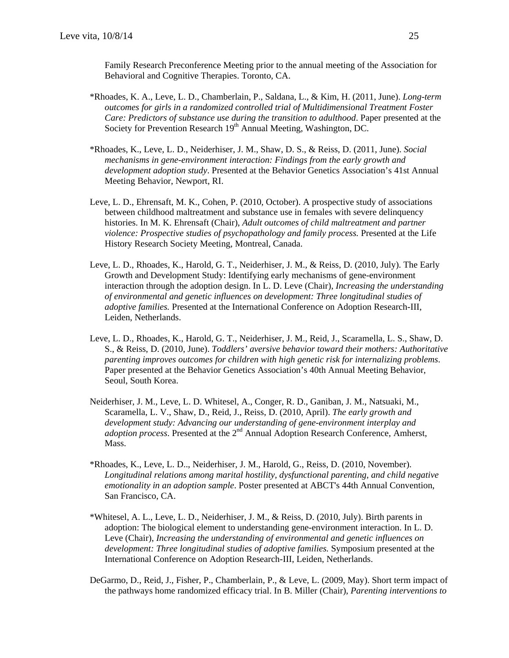Family Research Preconference Meeting prior to the annual meeting of the Association for Behavioral and Cognitive Therapies. Toronto, CA.

- \*Rhoades, K. A., Leve, L. D., Chamberlain, P., Saldana, L., & Kim, H. (2011, June). *Long-term outcomes for girls in a randomized controlled trial of Multidimensional Treatment Foster Care: Predictors of substance use during the transition to adulthood*. Paper presented at the Society for Prevention Research 19<sup>th</sup> Annual Meeting, Washington, DC.
- \*Rhoades, K., Leve, L. D., Neiderhiser, J. M., Shaw, D. S., & Reiss, D. (2011, June). *Social mechanisms in gene-environment interaction: Findings from the early growth and development adoption study*. Presented at the Behavior Genetics Association's 41st Annual Meeting Behavior, Newport, RI.
- Leve, L. D., Ehrensaft, M. K., Cohen, P. (2010, October). A prospective study of associations between childhood maltreatment and substance use in females with severe delinquency histories. In M. K. Ehrensaft (Chair), *Adult outcomes of child maltreatment and partner violence: Prospective studies of psychopathology and family process.* Presented at the Life History Research Society Meeting, Montreal, Canada.
- Leve, L. D., Rhoades, K., Harold, G. T., Neiderhiser, J. M., & Reiss, D. (2010, July). The Early Growth and Development Study: Identifying early mechanisms of gene-environment interaction through the adoption design. In L. D. Leve (Chair), *Increasing the understanding of environmental and genetic influences on development: Three longitudinal studies of adoptive families.* Presented at the International Conference on Adoption Research-III, Leiden, Netherlands.
- Leve, L. D., Rhoades, K., Harold, G. T., Neiderhiser, J. M., Reid, J., Scaramella, L. S., Shaw, D. S., & Reiss, D. (2010, June). *Toddlers' aversive behavior toward their mothers: Authoritative parenting improves outcomes for children with high genetic risk for internalizing problems*. Paper presented at the Behavior Genetics Association's 40th Annual Meeting Behavior, Seoul, South Korea.
- Neiderhiser, J. M., Leve, L. D. Whitesel, A., Conger, R. D., Ganiban, J. M., Natsuaki, M., Scaramella, L. V., Shaw, D., Reid, J., Reiss, D. (2010, April). *The early growth and development study: Advancing our understanding of gene-environment interplay and adoption process.* Presented at the 2<sup>nd</sup> Annual Adoption Research Conference, Amherst, Mass.
- \*Rhoades, K., Leve, L. D.., Neiderhiser, J. M., Harold, G., Reiss, D. (2010, November). *Longitudinal relations among marital hostility, dysfunctional parenting, and child negative emotionality in an adoption sample*. Poster presented at ABCT's 44th Annual Convention, San Francisco, CA.
- \*Whitesel, A. L., Leve, L. D., Neiderhiser, J. M., & Reiss, D. (2010, July). Birth parents in adoption: The biological element to understanding gene-environment interaction. In L. D. Leve (Chair), *Increasing the understanding of environmental and genetic influences on development: Three longitudinal studies of adoptive families.* Symposium presented at the International Conference on Adoption Research-III, Leiden, Netherlands.
- DeGarmo, D., Reid, J., Fisher, P., Chamberlain, P., & Leve, L. (2009, May). Short term impact of the pathways home randomized efficacy trial. In B. Miller (Chair), *Parenting interventions to*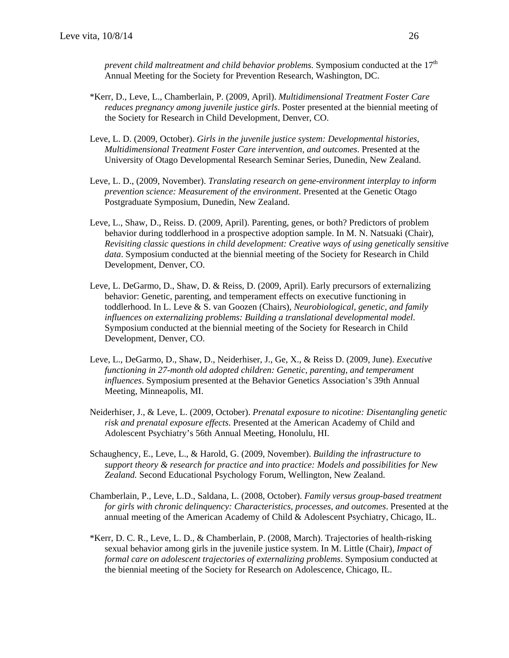*prevent child maltreatment and child behavior problems.* Symposium conducted at the 17<sup>th</sup> Annual Meeting for the Society for Prevention Research, Washington, DC.

- \*Kerr, D., Leve, L., Chamberlain, P. (2009, April). *Multidimensional Treatment Foster Care reduces pregnancy among juvenile justice girls*. Poster presented at the biennial meeting of the Society for Research in Child Development, Denver, CO.
- Leve, L. D. (2009, October). *Girls in the juvenile justice system: Developmental histories, Multidimensional Treatment Foster Care intervention, and outcomes*. Presented at the University of Otago Developmental Research Seminar Series, Dunedin, New Zealand.
- Leve, L. D., (2009, November). *Translating research on gene-environment interplay to inform prevention science: Measurement of the environment*. Presented at the Genetic Otago Postgraduate Symposium, Dunedin, New Zealand.
- Leve, L., Shaw, D., Reiss. D. (2009, April). Parenting, genes, or both? Predictors of problem behavior during toddlerhood in a prospective adoption sample. In M. N. Natsuaki (Chair), *Revisiting classic questions in child development: Creative ways of using genetically sensitive data*. Symposium conducted at the biennial meeting of the Society for Research in Child Development, Denver, CO.
- Leve, L. DeGarmo, D., Shaw, D. & Reiss, D. (2009, April). Early precursors of externalizing behavior: Genetic, parenting, and temperament effects on executive functioning in toddlerhood. In L. Leve & S. van Goozen (Chairs), *Neurobiological, genetic, and family influences on externalizing problems: Building a translational developmental model*. Symposium conducted at the biennial meeting of the Society for Research in Child Development, Denver, CO.
- Leve, L., DeGarmo, D., Shaw, D., Neiderhiser, J., Ge, X., & Reiss D. (2009, June). *Executive functioning in 27-month old adopted children: Genetic, parenting, and temperament influences*. Symposium presented at the Behavior Genetics Association's 39th Annual Meeting, Minneapolis, MI.
- Neiderhiser, J., & Leve, L. (2009, October). *Prenatal exposure to nicotine: Disentangling genetic risk and prenatal exposure effects*. Presented at the American Academy of Child and Adolescent Psychiatry's 56th Annual Meeting, Honolulu, HI.
- Schaughency, E., Leve, L., & Harold, G. (2009, November). *Building the infrastructure to support theory & research for practice and into practice: Models and possibilities for New Zealand.* Second Educational Psychology Forum, Wellington, New Zealand.
- Chamberlain, P., Leve, L.D., Saldana, L. (2008, October). *Family versus group-based treatment for girls with chronic delinquency: Characteristics, processes, and outcomes*. Presented at the annual meeting of the American Academy of Child & Adolescent Psychiatry, Chicago, IL.
- \*Kerr, D. C. R., Leve, L. D., & Chamberlain, P. (2008, March). Trajectories of health-risking sexual behavior among girls in the juvenile justice system. In M. Little (Chair), *Impact of formal care on adolescent trajectories of externalizing problems*. Symposium conducted at the biennial meeting of the Society for Research on Adolescence, Chicago, IL.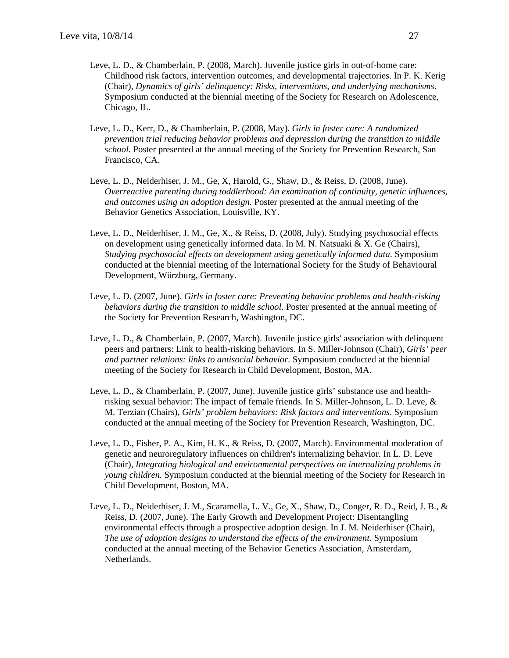- Leve, L. D., & Chamberlain, P. (2008, March). Juvenile justice girls in out-of-home care: Childhood risk factors, intervention outcomes, and developmental trajectories. In P. K. Kerig (Chair), *Dynamics of girls' delinquency: Risks, interventions, and underlying mechanisms*. Symposium conducted at the biennial meeting of the Society for Research on Adolescence, Chicago, IL.
- Leve, L. D., Kerr, D., & Chamberlain, P. (2008, May). *Girls in foster care: A randomized prevention trial reducing behavior problems and depression during the transition to middle school.* Poster presented at the annual meeting of the Society for Prevention Research, San Francisco, CA.
- Leve, L. D., Neiderhiser, J. M., Ge, X, Harold, G., Shaw, D., & Reiss, D. (2008, June). *Overreactive parenting during toddlerhood: An examination of continuity, genetic influences, and outcomes using an adoption design.* Poster presented at the annual meeting of the Behavior Genetics Association, Louisville, KY.
- Leve, L. D., Neiderhiser, J. M., Ge, X., & Reiss, D. (2008, July). Studying psychosocial effects on development using genetically informed data. In M. N. Natsuaki  $\& X$ . Ge (Chairs), *Studying psychosocial effects on development using genetically informed data*. Symposium conducted at the biennial meeting of the International Society for the Study of Behavioural Development, Würzburg, Germany.
- Leve, L. D. (2007, June). *Girls in foster care: Preventing behavior problems and health-risking behaviors during the transition to middle school*. Poster presented at the annual meeting of the Society for Prevention Research, Washington, DC.
- Leve, L. D., & Chamberlain, P. (2007, March). Juvenile justice girls' association with delinquent peers and partners: Link to health-risking behaviors. In S. Miller-Johnson (Chair), *Girls' peer and partner relations: links to antisocial behavior.* Symposium conducted at the biennial meeting of the Society for Research in Child Development, Boston, MA.
- Leve, L. D., & Chamberlain, P. (2007, June). Juvenile justice girls' substance use and healthrisking sexual behavior: The impact of female friends. In S. Miller-Johnson, L. D. Leve, & M. Terzian (Chairs), *Girls' problem behaviors: Risk factors and interventions*. Symposium conducted at the annual meeting of the Society for Prevention Research, Washington, DC.
- Leve, L. D., Fisher, P. A., Kim, H. K., & Reiss, D. (2007, March). Environmental moderation of genetic and neuroregulatory influences on children's internalizing behavior. In L. D. Leve (Chair), *Integrating biological and environmental perspectives on internalizing problems in young children.* Symposium conducted at the biennial meeting of the Society for Research in Child Development, Boston, MA.
- Leve, L. D., Neiderhiser, J. M., Scaramella, L. V., Ge, X., Shaw, D., Conger, R. D., Reid, J. B., & Reiss, D. (2007, June). The Early Growth and Development Project: Disentangling environmental effects through a prospective adoption design. In J. M. Neiderhiser (Chair), *The use of adoption designs to understand the effects of the environment*. Symposium conducted at the annual meeting of the Behavior Genetics Association, Amsterdam, Netherlands.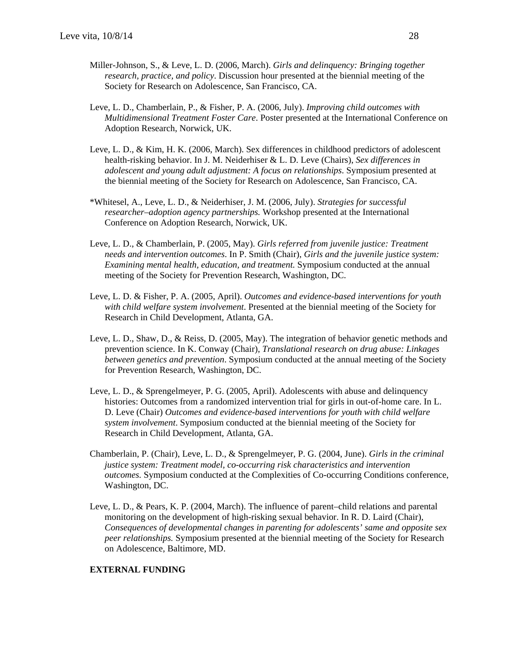- Miller-Johnson, S., & Leve, L. D. (2006, March). *Girls and delinquency: Bringing together research, practice, and policy*. Discussion hour presented at the biennial meeting of the Society for Research on Adolescence, San Francisco, CA.
- Leve, L. D., Chamberlain, P., & Fisher, P. A. (2006, July). *Improving child outcomes with Multidimensional Treatment Foster Care*. Poster presented at the International Conference on Adoption Research, Norwick, UK.
- Leve, L. D., & Kim, H. K. (2006, March). Sex differences in childhood predictors of adolescent health-risking behavior. In J. M. Neiderhiser & L. D. Leve (Chairs), *Sex differences in adolescent and young adult adjustment: A focus on relationships*. Symposium presented at the biennial meeting of the Society for Research on Adolescence, San Francisco, CA.
- \*Whitesel, A., Leve, L. D., & Neiderhiser, J. M. (2006, July). *Strategies for successful researcher–adoption agency partnerships.* Workshop presented at the International Conference on Adoption Research, Norwick, UK.
- Leve, L. D., & Chamberlain, P. (2005, May). *Girls referred from juvenile justice: Treatment needs and intervention outcomes*. In P. Smith (Chair), *Girls and the juvenile justice system: Examining mental health, education, and treatment.* Symposium conducted at the annual meeting of the Society for Prevention Research, Washington, DC.
- Leve, L. D. & Fisher, P. A. (2005, April). *Outcomes and evidence-based interventions for youth with child welfare system involvement*. Presented at the biennial meeting of the Society for Research in Child Development, Atlanta, GA.
- Leve, L. D., Shaw, D., & Reiss, D. (2005, May). The integration of behavior genetic methods and prevention science. In K. Conway (Chair), *Translational research on drug abuse: Linkages between genetics and prevention*. Symposium conducted at the annual meeting of the Society for Prevention Research, Washington, DC.
- Leve, L. D., & Sprengelmeyer, P. G. (2005, April). Adolescents with abuse and delinquency histories: Outcomes from a randomized intervention trial for girls in out-of-home care. In L. D. Leve (Chair) *Outcomes and evidence-based interventions for youth with child welfare system involvement*. Symposium conducted at the biennial meeting of the Society for Research in Child Development, Atlanta, GA.
- Chamberlain, P. (Chair), Leve, L. D., & Sprengelmeyer, P. G. (2004, June). *Girls in the criminal justice system: Treatment model, co-occurring risk characteristics and intervention outcomes.* Symposium conducted at the Complexities of Co-occurring Conditions conference, Washington, DC.
- Leve, L. D., & Pears, K. P. (2004, March). The influence of parent–child relations and parental monitoring on the development of high-risking sexual behavior. In R. D. Laird (Chair), *Consequences of developmental changes in parenting for adolescents' same and opposite sex peer relationships.* Symposium presented at the biennial meeting of the Society for Research on Adolescence, Baltimore, MD.

## **EXTERNAL FUNDING**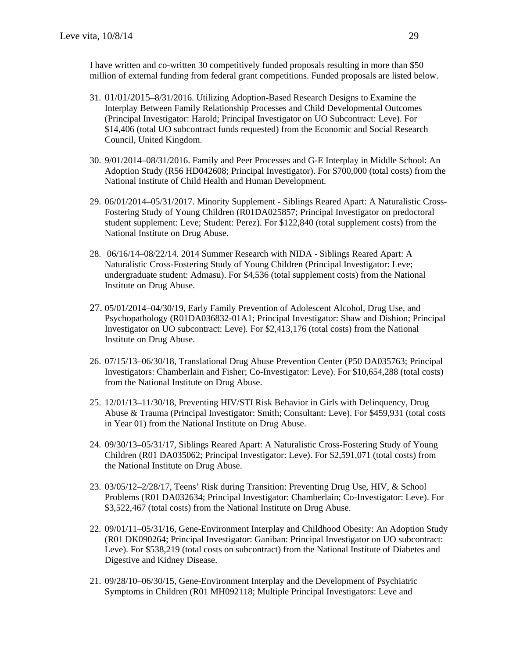I have written and co-written 30 competitively funded proposals resulting in more than \$50 million of external funding from federal grant competitions. Funded proposals are listed below.

- 31. 01/01/2015–8/31/2016. Utilizing Adoption-Based Research Designs to Examine the Interplay Between Family Relationship Processes and Child Developmental Outcomes (Principal Investigator: Harold; Principal Investigator on UO Subcontract: Leve). For \$14,406 (total UO subcontract funds requested) from the Economic and Social Research Council, United Kingdom.
- 30. 9/01/2014–08/31/2016. Family and Peer Processes and G-E Interplay in Middle School: An Adoption Study (R56 HD042608; Principal Investigator). For \$700,000 (total costs) from the National Institute of Child Health and Human Development.
- 29. 06/01/2014–05/31/2017. Minority Supplement Siblings Reared Apart: A Naturalistic Cross-Fostering Study of Young Children (R01DA025857; Principal Investigator on predoctoral student supplement: Leve; Student: Perez). For \$122,840 (total supplement costs) from the National Institute on Drug Abuse.
- 28. 06/16/14–08/22/14. 2014 Summer Research with NIDA Siblings Reared Apart: A Naturalistic Cross-Fostering Study of Young Children (Principal Investigator: Leve; undergraduate student: Admasu). For \$4,536 (total supplement costs) from the National Institute on Drug Abuse.
- 27. 05/01/2014–04/30/19, Early Family Prevention of Adolescent Alcohol, Drug Use, and Psychopathology (R01DA036832-01A1; Principal Investigator: Shaw and Dishion; Principal Investigator on UO subcontract: Leve)*.* For \$2,413,176 (total costs) from the National Institute on Drug Abuse.
- 26. 07/15/13–06/30/18, Translational Drug Abuse Prevention Center (P50 DA035763; Principal Investigators: Chamberlain and Fisher; Co-Investigator: Leve). For \$10,654,288 (total costs) from the National Institute on Drug Abuse.
- 25. 12/01/13–11/30/18, Preventing HIV/STI Risk Behavior in Girls with Delinquency, Drug Abuse & Trauma (Principal Investigator: Smith; Consultant: Leve). For \$459,931 (total costs in Year 01) from the National Institute on Drug Abuse.
- 24. 09/30/13–05/31/17, Siblings Reared Apart: A Naturalistic Cross-Fostering Study of Young Children (R01 DA035062; Principal Investigator: Leve). For \$2,591,071 (total costs) from the National Institute on Drug Abuse.
- 23. 03/05/12–2/28/17, Teens' Risk during Transition: Preventing Drug Use, HIV, & School Problems (R01 DA032634; Principal Investigator: Chamberlain; Co-Investigator: Leve). For \$3,522,467 (total costs) from the National Institute on Drug Abuse.
- 22. 09/01/11–05/31/16, Gene-Environment Interplay and Childhood Obesity: An Adoption Study (R01 DK090264; Principal Investigator: Ganiban: Principal Investigator on UO subcontract: Leve). For \$538,219 (total costs on subcontract) from the National Institute of Diabetes and Digestive and Kidney Disease.
- 21. 09/28/10–06/30/15, Gene-Environment Interplay and the Development of Psychiatric Symptoms in Children (R01 MH092118; Multiple Principal Investigators: Leve and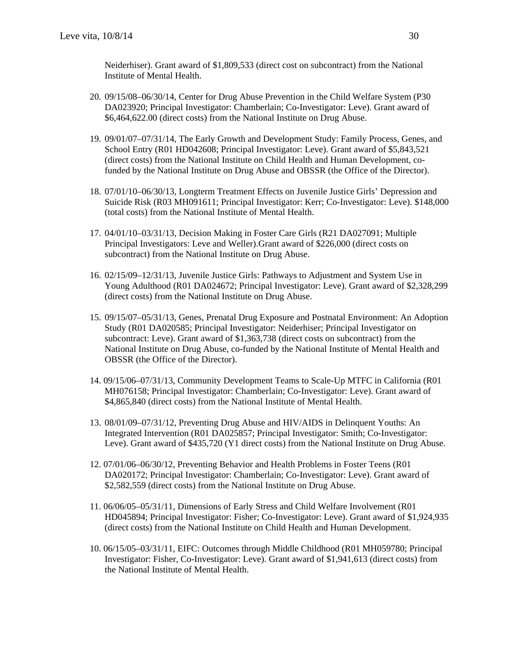Neiderhiser). Grant award of \$1,809,533 (direct cost on subcontract) from the National Institute of Mental Health.

- 20. 09/15/08–06/30/14, Center for Drug Abuse Prevention in the Child Welfare System (P30 DA023920; Principal Investigator: Chamberlain; Co-Investigator: Leve). Grant award of \$6,464,622.00 (direct costs) from the National Institute on Drug Abuse.
- 19. 09/01/07–07/31/14, The Early Growth and Development Study: Family Process, Genes, and School Entry (R01 HD042608; Principal Investigator: Leve). Grant award of \$5,843,521 (direct costs) from the National Institute on Child Health and Human Development, cofunded by the National Institute on Drug Abuse and OBSSR (the Office of the Director).
- 18. 07/01/10–06/30/13*,* Longterm Treatment Effects on Juvenile Justice Girls' Depression and Suicide Risk (R03 MH091611; Principal Investigator: Kerr; Co-Investigator: Leve). \$148,000 (total costs) from the National Institute of Mental Health.
- 17. 04/01/10–03/31/13*,* Decision Making in Foster Care Girls (R21 DA027091; Multiple Principal Investigators: Leve and Weller).Grant award of \$226,000 (direct costs on subcontract) from the National Institute on Drug Abuse.
- 16. 02/15/09–12/31/13, Juvenile Justice Girls: Pathways to Adjustment and System Use in Young Adulthood (R01 DA024672; Principal Investigator: Leve). Grant award of \$2,328,299 (direct costs) from the National Institute on Drug Abuse.
- 15. 09/15/07–05/31/13, Genes, Prenatal Drug Exposure and Postnatal Environment: An Adoption Study (R01 DA020585; Principal Investigator: Neiderhiser; Principal Investigator on subcontract: Leve). Grant award of \$1,363,738 (direct costs on subcontract) from the National Institute on Drug Abuse, co-funded by the National Institute of Mental Health and OBSSR (the Office of the Director).
- 14. 09/15/06–07/31/13, Community Development Teams to Scale-Up MTFC in California (R01 MH076158; Principal Investigator: Chamberlain; Co-Investigator: Leve). Grant award of \$4,865,840 (direct costs) from the National Institute of Mental Health.
- 13. 08/01/09–07/31/12, Preventing Drug Abuse and HIV/AIDS in Delinquent Youths: An Integrated Intervention (R01 DA025857; Principal Investigator: Smith; Co-Investigator: Leve). Grant award of \$435,720 (Y1 direct costs) from the National Institute on Drug Abuse.
- 12. 07/01/06–06/30/12, Preventing Behavior and Health Problems in Foster Teens (R01 DA020172; Principal Investigator: Chamberlain; Co-Investigator: Leve). Grant award of \$2,582,559 (direct costs) from the National Institute on Drug Abuse.
- 11. 06/06/05–05/31/11, Dimensions of Early Stress and Child Welfare Involvement (R01 HD045894; Principal Investigator: Fisher; Co-Investigator: Leve). Grant award of \$1,924,935 (direct costs) from the National Institute on Child Health and Human Development.
- 10. 06/15/05–03/31/11, EIFC: Outcomes through Middle Childhood (R01 MH059780; Principal Investigator: Fisher, Co-Investigator: Leve). Grant award of \$1,941,613 (direct costs) from the National Institute of Mental Health.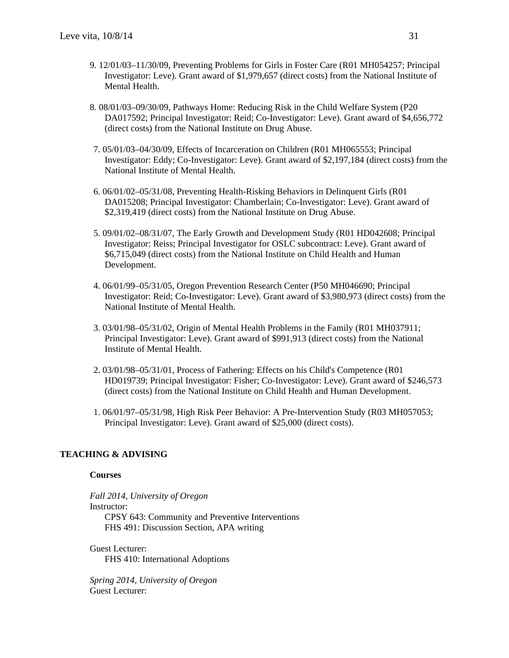- 9. 12/01/03–11/30/09, Preventing Problems for Girls in Foster Care (R01 MH054257; Principal Investigator: Leve). Grant award of \$1,979,657 (direct costs) from the National Institute of Mental Health.
- 8. 08/01/03–09/30/09, Pathways Home: Reducing Risk in the Child Welfare System (P20 DA017592; Principal Investigator: Reid; Co-Investigator: Leve). Grant award of \$4,656,772 (direct costs) from the National Institute on Drug Abuse.
- 7. 05/01/03–04/30/09, Effects of Incarceration on Children (R01 MH065553; Principal Investigator: Eddy; Co-Investigator: Leve). Grant award of \$2,197,184 (direct costs) from the National Institute of Mental Health.
- 6. 06/01/02–05/31/08, Preventing Health-Risking Behaviors in Delinquent Girls (R01 DA015208; Principal Investigator: Chamberlain; Co-Investigator: Leve). Grant award of \$2,319,419 (direct costs) from the National Institute on Drug Abuse.
- 5. 09/01/02–08/31/07, The Early Growth and Development Study (R01 HD042608; Principal Investigator: Reiss; Principal Investigator for OSLC subcontract: Leve). Grant award of \$6,715,049 (direct costs) from the National Institute on Child Health and Human Development.
- 4. 06/01/99–05/31/05, Oregon Prevention Research Center (P50 MH046690; Principal Investigator: Reid; Co-Investigator: Leve). Grant award of \$3,980,973 (direct costs) from the National Institute of Mental Health.
- 3. 03/01/98–05/31/02, Origin of Mental Health Problems in the Family (R01 MH037911; Principal Investigator: Leve). Grant award of \$991,913 (direct costs) from the National Institute of Mental Health.
- 2. 03/01/98–05/31/01, Process of Fathering: Effects on his Child's Competence (R01 HD019739; Principal Investigator: Fisher; Co-Investigator: Leve). Grant award of \$246,573 (direct costs) from the National Institute on Child Health and Human Development.
- 1. 06/01/97–05/31/98, High Risk Peer Behavior: A Pre-Intervention Study (R03 MH057053; Principal Investigator: Leve). Grant award of \$25,000 (direct costs).

# **TEACHING & ADVISING**

#### **Courses**

*Fall 2014, University of Oregon*  Instructor: CPSY 643: Community and Preventive Interventions FHS 491: Discussion Section, APA writing

Guest Lecturer: FHS 410: International Adoptions

*Spring 2014, University of Oregon*  Guest Lecturer: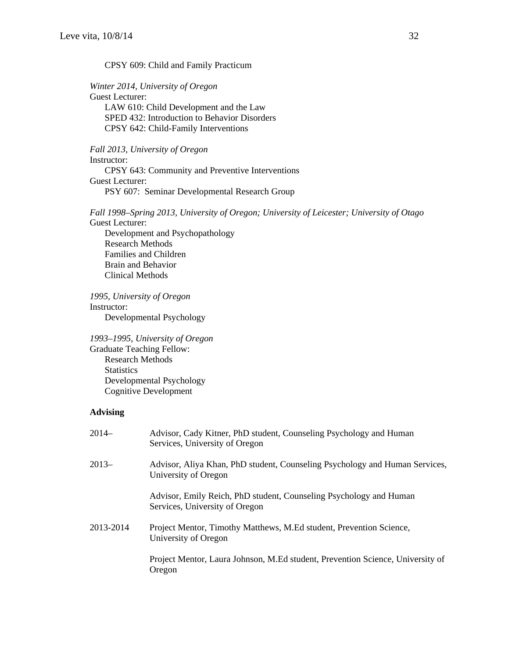#### CPSY 609: Child and Family Practicum

## *Winter 2014, University of Oregon*

Guest Lecturer: LAW 610: Child Development and the Law SPED 432: Introduction to Behavior Disorders CPSY 642: Child-Family Interventions

## *Fall 2013, University of Oregon*

Instructor: CPSY 643: Community and Preventive Interventions Guest Lecturer: PSY 607: Seminar Developmental Research Group

*Fall 1998–Spring 2013, University of Oregon; University of Leicester; University of Otago*  Guest Lecturer:

Development and Psychopathology Research Methods Families and Children Brain and Behavior Clinical Methods

*1995, University of Oregon*  Instructor: Developmental Psychology

*1993–1995*, *University of Oregon*  Graduate Teaching Fellow: Research Methods **Statistics** Developmental Psychology Cognitive Development

## **Advising**

| $2014-$   | Advisor, Cady Kitner, PhD student, Counseling Psychology and Human<br>Services, University of Oregon |
|-----------|------------------------------------------------------------------------------------------------------|
| $2013-$   | Advisor, Aliya Khan, PhD student, Counseling Psychology and Human Services,<br>University of Oregon  |
|           | Advisor, Emily Reich, PhD student, Counseling Psychology and Human<br>Services, University of Oregon |
| 2013-2014 | Project Mentor, Timothy Matthews, M.Ed student, Prevention Science,<br>University of Oregon          |
|           | Project Mentor, Laura Johnson, M.Ed student, Prevention Science, University of<br>Oregon             |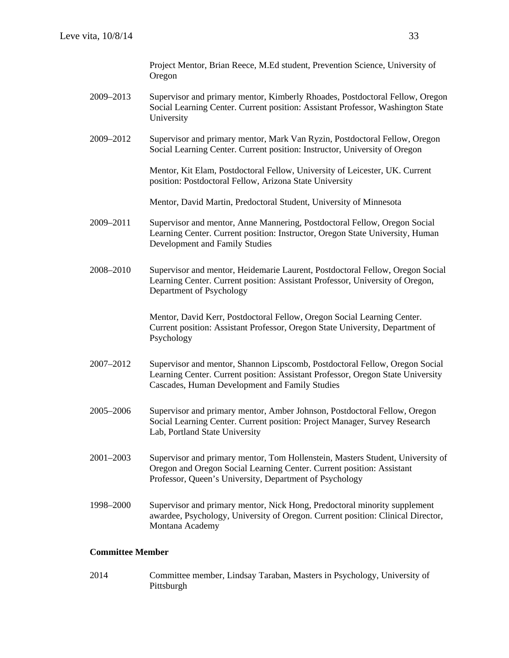Project Mentor, Brian Reece, M.Ed student, Prevention Science, University of Oregon

- 2009–2013 Supervisor and primary mentor, Kimberly Rhoades, Postdoctoral Fellow, Oregon Social Learning Center. Current position: Assistant Professor, Washington State University
- 2009–2012 Supervisor and primary mentor, Mark Van Ryzin, Postdoctoral Fellow, Oregon Social Learning Center. Current position: Instructor, University of Oregon

Mentor, Kit Elam, Postdoctoral Fellow, University of Leicester, UK. Current position: Postdoctoral Fellow, Arizona State University

Mentor, David Martin, Predoctoral Student, University of Minnesota

- 2009–2011 Supervisor and mentor, Anne Mannering, Postdoctoral Fellow, Oregon Social Learning Center. Current position: Instructor, Oregon State University, Human Development and Family Studies
- 2008–2010 Supervisor and mentor, Heidemarie Laurent, Postdoctoral Fellow, Oregon Social Learning Center. Current position: Assistant Professor, University of Oregon, Department of Psychology

Mentor, David Kerr, Postdoctoral Fellow, Oregon Social Learning Center. Current position: Assistant Professor, Oregon State University, Department of Psychology

- 2007–2012 Supervisor and mentor, Shannon Lipscomb, Postdoctoral Fellow, Oregon Social Learning Center. Current position: Assistant Professor, Oregon State University Cascades, Human Development and Family Studies
- 2005–2006 Supervisor and primary mentor, Amber Johnson, Postdoctoral Fellow, Oregon Social Learning Center. Current position: Project Manager, Survey Research Lab, Portland State University
- 2001–2003 Supervisor and primary mentor, Tom Hollenstein, Masters Student, University of Oregon and Oregon Social Learning Center. Current position: Assistant Professor, Queen's University, Department of Psychology
- 1998–2000 Supervisor and primary mentor, Nick Hong, Predoctoral minority supplement awardee, Psychology, University of Oregon. Current position: Clinical Director, Montana Academy

## **Committee Member**

2014 Committee member, Lindsay Taraban, Masters in Psychology, University of Pittsburgh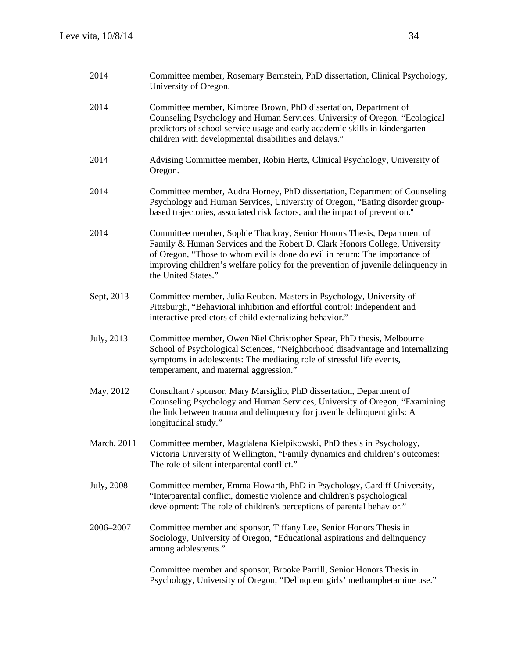| 2014        | Committee member, Rosemary Bernstein, PhD dissertation, Clinical Psychology,<br>University of Oregon.                                                                                                                                                                                                                                           |
|-------------|-------------------------------------------------------------------------------------------------------------------------------------------------------------------------------------------------------------------------------------------------------------------------------------------------------------------------------------------------|
| 2014        | Committee member, Kimbree Brown, PhD dissertation, Department of<br>Counseling Psychology and Human Services, University of Oregon, "Ecological<br>predictors of school service usage and early academic skills in kindergarten<br>children with developmental disabilities and delays."                                                        |
| 2014        | Advising Committee member, Robin Hertz, Clinical Psychology, University of<br>Oregon.                                                                                                                                                                                                                                                           |
| 2014        | Committee member, Audra Horney, PhD dissertation, Department of Counseling<br>Psychology and Human Services, University of Oregon, "Eating disorder group-<br>based trajectories, associated risk factors, and the impact of prevention."                                                                                                       |
| 2014        | Committee member, Sophie Thackray, Senior Honors Thesis, Department of<br>Family & Human Services and the Robert D. Clark Honors College, University<br>of Oregon, "Those to whom evil is done do evil in return: The importance of<br>improving children's welfare policy for the prevention of juvenile delinquency in<br>the United States." |
| Sept, 2013  | Committee member, Julia Reuben, Masters in Psychology, University of<br>Pittsburgh, "Behavioral inhibition and effortful control: Independent and<br>interactive predictors of child externalizing behavior."                                                                                                                                   |
| July, 2013  | Committee member, Owen Niel Christopher Spear, PhD thesis, Melbourne<br>School of Psychological Sciences, "Neighborhood disadvantage and internalizing<br>symptoms in adolescents: The mediating role of stressful life events,<br>temperament, and maternal aggression."                                                                       |
| May, 2012   | Consultant / sponsor, Mary Marsiglio, PhD dissertation, Department of<br>Counseling Psychology and Human Services, University of Oregon, "Examining<br>the link between trauma and delinquency for juvenile delinquent girls: A<br>longitudinal study."                                                                                         |
| March, 2011 | Committee member, Magdalena Kielpikowski, PhD thesis in Psychology,<br>Victoria University of Wellington, "Family dynamics and children's outcomes:<br>The role of silent interparental conflict."                                                                                                                                              |
| July, 2008  | Committee member, Emma Howarth, PhD in Psychology, Cardiff University,<br>"Interparental conflict, domestic violence and children's psychological<br>development: The role of children's perceptions of parental behavior."                                                                                                                     |
| 2006-2007   | Committee member and sponsor, Tiffany Lee, Senior Honors Thesis in<br>Sociology, University of Oregon, "Educational aspirations and delinquency<br>among adolescents."                                                                                                                                                                          |
|             | Committee member and sponsor, Brooke Parrill, Senior Honors Thesis in<br>Psychology, University of Oregon, "Delinquent girls' methamphetamine use."                                                                                                                                                                                             |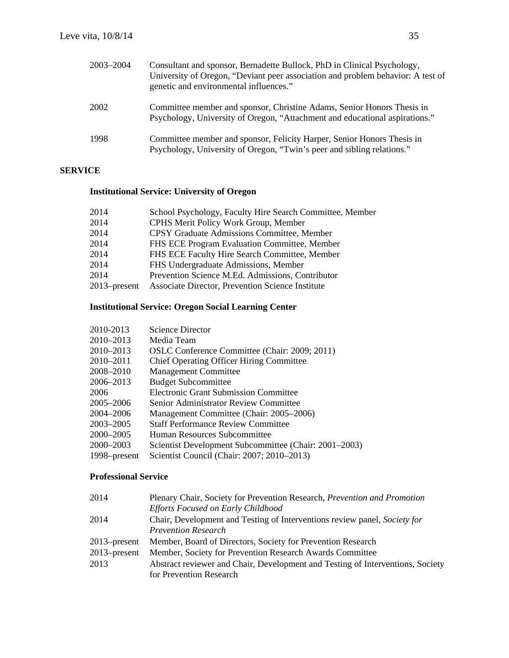| 2003-2004 | Consultant and sponsor, Bernadette Bullock, PhD in Clinical Psychology,<br>University of Oregon, "Deviant peer association and problem behavior: A test of<br>genetic and environmental influences." |
|-----------|------------------------------------------------------------------------------------------------------------------------------------------------------------------------------------------------------|
| 2002      | Committee member and sponsor, Christine Adams, Senior Honors Thesis in<br>Psychology, University of Oregon, "Attachment and educational aspirations."                                                |
| 1998      | Committee member and sponsor, Felicity Harper, Senior Honors Thesis in<br>Psychology, University of Oregon, "Twin's peer and sibling relations."                                                     |

# **SERVICE**

# **Institutional Service: University of Oregon**

| 2014            | School Psychology, Faculty Hire Search Committee, Member |
|-----------------|----------------------------------------------------------|
| 2014            | CPHS Merit Policy Work Group, Member                     |
| 2014            | <b>CPSY Graduate Admissions Committee, Member</b>        |
| 2014            | FHS ECE Program Evaluation Committee, Member             |
| 2014            | FHS ECE Faculty Hire Search Committee, Member            |
| 2014            | FHS Undergraduate Admissions, Member                     |
| 2014            | Prevention Science M.Ed. Admissions, Contributor         |
| $2013$ -present | Associate Director, Prevention Science Institute         |
|                 |                                                          |

# **Institutional Service: Oregon Social Learning Center**

| 2010-2013    | Science Director                                      |
|--------------|-------------------------------------------------------|
| 2010-2013    | Media Team                                            |
| 2010-2013    | OSLC Conference Committee (Chair: 2009; 2011)         |
| 2010–2011    | <b>Chief Operating Officer Hiring Committee</b>       |
| 2008-2010    | <b>Management Committee</b>                           |
| 2006–2013    | <b>Budget Subcommittee</b>                            |
| 2006         | <b>Electronic Grant Submission Committee</b>          |
| 2005–2006    | <b>Senior Administrator Review Committee</b>          |
| 2004-2006    | Management Committee (Chair: 2005–2006)               |
| 2003-2005    | <b>Staff Performance Review Committee</b>             |
| 2000–2005    | Human Resources Subcommittee                          |
| 2000-2003    | Scientist Development Subcommittee (Chair: 2001–2003) |
| 1998–present | Scientist Council (Chair: 2007; 2010–2013)            |

# **Professional Service**

| 2014         | Plenary Chair, Society for Prevention Research, Prevention and Promotion                                  |
|--------------|-----------------------------------------------------------------------------------------------------------|
|              | Efforts Focused on Early Childhood                                                                        |
| 2014         | Chair, Development and Testing of Interventions review panel, Society for                                 |
|              | <b>Prevention Research</b>                                                                                |
| 2013–present | Member, Board of Directors, Society for Prevention Research                                               |
| 2013–present | Member, Society for Prevention Research Awards Committee                                                  |
| 2013         | Abstract reviewer and Chair, Development and Testing of Interventions, Society<br>for Prevention Research |
|              |                                                                                                           |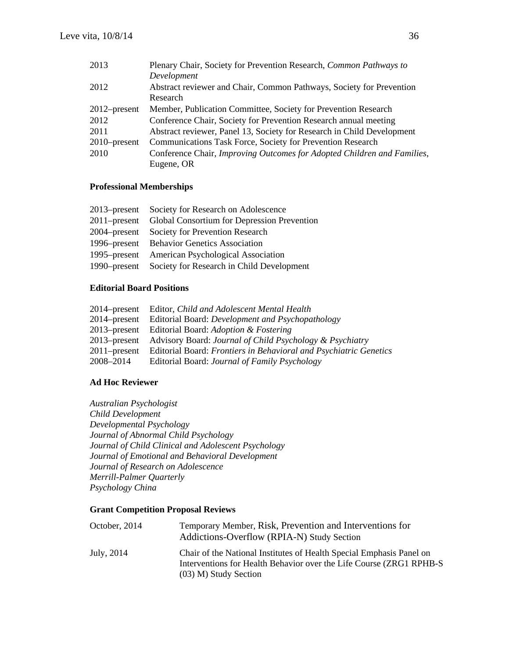| 2013            | Plenary Chair, Society for Prevention Research, Common Pathways to      |
|-----------------|-------------------------------------------------------------------------|
|                 | Development                                                             |
| 2012            | Abstract reviewer and Chair, Common Pathways, Society for Prevention    |
|                 | Research                                                                |
| $2012$ -present | Member, Publication Committee, Society for Prevention Research          |
| 2012            | Conference Chair, Society for Prevention Research annual meeting        |
| 2011            | Abstract reviewer, Panel 13, Society for Research in Child Development  |
| $2010$ -present | Communications Task Force, Society for Prevention Research              |
| 2010            | Conference Chair, Improving Outcomes for Adopted Children and Families, |
|                 | Eugene, OR                                                              |

## **Professional Memberships**

| 2013–present Society for Research on Adolescence         |
|----------------------------------------------------------|
| 2011–present Global Consortium for Depression Prevention |
| 2004–present Society for Prevention Research             |
| 1996–present Behavior Genetics Association               |
| 1995–present American Psychological Association          |
| 1990–present Society for Research in Child Development   |
|                                                          |

## **Editorial Board Positions**

|                 | 2014–present Editor, Child and Adolescent Mental Health           |
|-----------------|-------------------------------------------------------------------|
|                 | 2014–present Editorial Board: Development and Psychopathology     |
|                 | 2013–present Editorial Board: Adoption & Fostering                |
| $2013$ -present | Advisory Board: Journal of Child Psychology & Psychiatry          |
| $2011$ -present | Editorial Board: Frontiers in Behavioral and Psychiatric Genetics |
| 2008–2014       | Editorial Board: Journal of Family Psychology                     |

# **Ad Hoc Reviewer**

*Australian Psychologist Child Development Developmental Psychology Journal of Abnormal Child Psychology Journal of Child Clinical and Adolescent Psychology Journal of Emotional and Behavioral Development Journal of Research on Adolescence Merrill-Palmer Quarterly Psychology China* 

## **Grant Competition Proposal Reviews**

| October, 2014 | Temporary Member, Risk, Prevention and Interventions for<br>Addictions-Overflow (RPIA-N) Study Section                                                                  |
|---------------|-------------------------------------------------------------------------------------------------------------------------------------------------------------------------|
| July, 2014    | Chair of the National Institutes of Health Special Emphasis Panel on<br>Interventions for Health Behavior over the Life Course (ZRG1 RPHB-S)<br>$(03)$ M) Study Section |